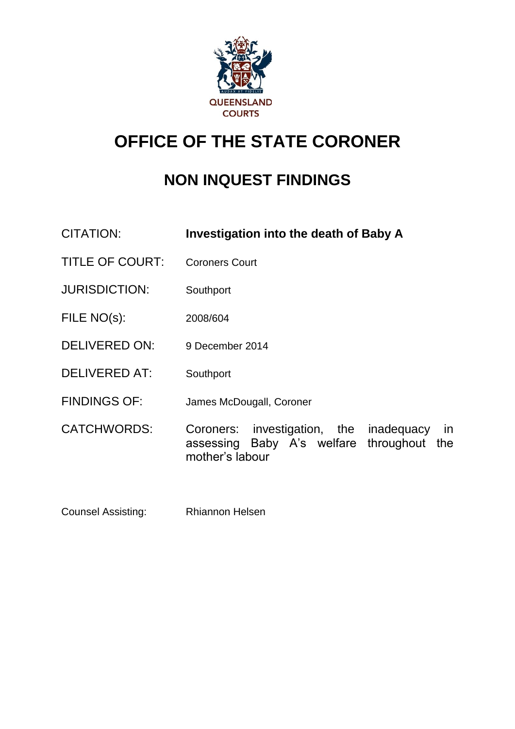

# **OFFICE OF THE STATE CORONER**

# **NON INQUEST FINDINGS**

- CITATION: **Investigation into the death of Baby A** TITLE OF COURT: Coroners Court JURISDICTION: Southport FILE NO(s): 2008/604 DELIVERED ON: 9 December 2014 DELIVERED AT: Southport FINDINGS OF: James McDougall, Coroner CATCHWORDS: Coroners: investigation, the inadequacy in assessing Baby A's welfare throughout the mother's labour
- Counsel Assisting: Rhiannon Helsen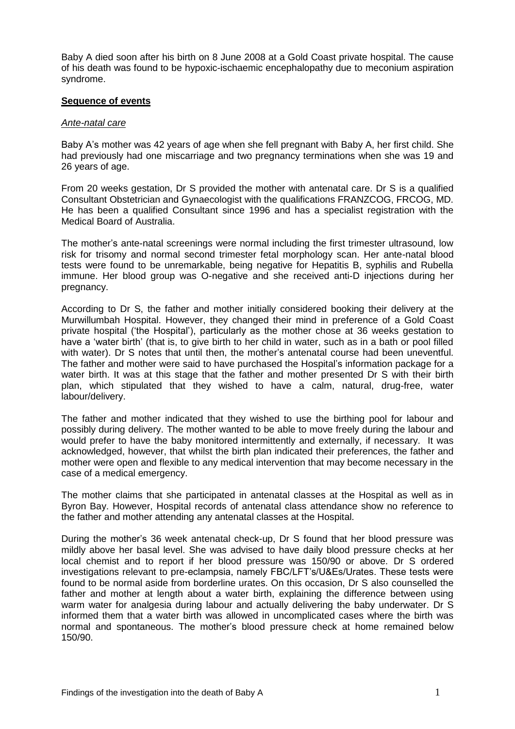Baby A died soon after his birth on 8 June 2008 at a Gold Coast private hospital. The cause of his death was found to be hypoxic-ischaemic encephalopathy due to meconium aspiration syndrome.

#### **Sequence of events**

#### *Ante-natal care*

Baby A's mother was 42 years of age when she fell pregnant with Baby A, her first child. She had previously had one miscarriage and two pregnancy terminations when she was 19 and 26 years of age.

From 20 weeks gestation, Dr S provided the mother with antenatal care. Dr S is a qualified Consultant Obstetrician and Gynaecologist with the qualifications FRANZCOG, FRCOG, MD. He has been a qualified Consultant since 1996 and has a specialist registration with the Medical Board of Australia.

The mother's ante-natal screenings were normal including the first trimester ultrasound, low risk for trisomy and normal second trimester fetal morphology scan. Her ante-natal blood tests were found to be unremarkable, being negative for Hepatitis B, syphilis and Rubella immune. Her blood group was O-negative and she received anti-D injections during her pregnancy.

According to Dr S, the father and mother initially considered booking their delivery at the Murwillumbah Hospital. However, they changed their mind in preference of a Gold Coast private hospital ('the Hospital'), particularly as the mother chose at 36 weeks gestation to have a 'water birth' (that is, to give birth to her child in water, such as in a bath or pool filled with water). Dr S notes that until then, the mother's antenatal course had been uneventful. The father and mother were said to have purchased the Hospital's information package for a water birth. It was at this stage that the father and mother presented Dr S with their birth plan, which stipulated that they wished to have a calm, natural, drug-free, water labour/delivery.

The father and mother indicated that they wished to use the birthing pool for labour and possibly during delivery. The mother wanted to be able to move freely during the labour and would prefer to have the baby monitored intermittently and externally, if necessary. It was acknowledged, however, that whilst the birth plan indicated their preferences, the father and mother were open and flexible to any medical intervention that may become necessary in the case of a medical emergency.

The mother claims that she participated in antenatal classes at the Hospital as well as in Byron Bay. However, Hospital records of antenatal class attendance show no reference to the father and mother attending any antenatal classes at the Hospital.

During the mother's 36 week antenatal check-up, Dr S found that her blood pressure was mildly above her basal level. She was advised to have daily blood pressure checks at her local chemist and to report if her blood pressure was 150/90 or above. Dr S ordered investigations relevant to pre-eclampsia, namely FBC/LFT's/U&Es/Urates. These tests were found to be normal aside from borderline urates. On this occasion, Dr S also counselled the father and mother at length about a water birth, explaining the difference between using warm water for analgesia during labour and actually delivering the baby underwater. Dr S informed them that a water birth was allowed in uncomplicated cases where the birth was normal and spontaneous. The mother's blood pressure check at home remained below 150/90.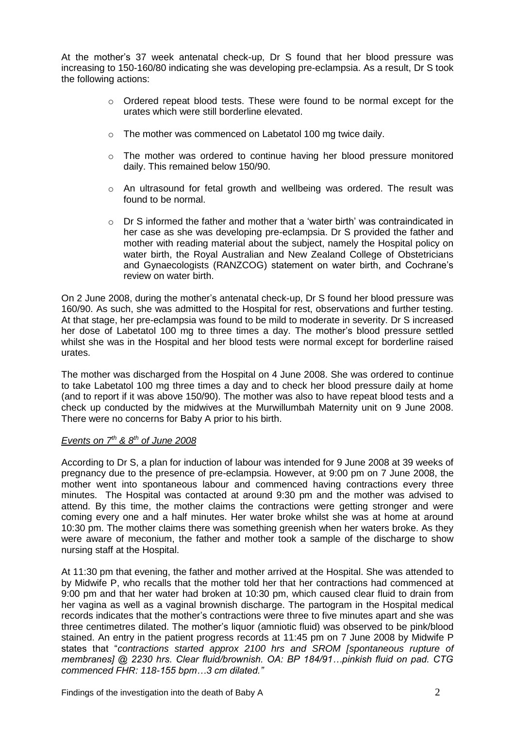At the mother's 37 week antenatal check-up, Dr S found that her blood pressure was increasing to 150-160/80 indicating she was developing pre-eclampsia. As a result, Dr S took the following actions:

- $\circ$  Ordered repeat blood tests. These were found to be normal except for the urates which were still borderline elevated.
- o The mother was commenced on Labetatol 100 mg twice daily.
- o The mother was ordered to continue having her blood pressure monitored daily. This remained below 150/90.
- $\circ$  An ultrasound for fetal growth and wellbeing was ordered. The result was found to be normal.
- $\circ$  Dr S informed the father and mother that a 'water birth' was contraindicated in her case as she was developing pre-eclampsia. Dr S provided the father and mother with reading material about the subject, namely the Hospital policy on water birth, the Royal Australian and New Zealand College of Obstetricians and Gynaecologists (RANZCOG) statement on water birth, and Cochrane's review on water birth.

On 2 June 2008, during the mother's antenatal check-up, Dr S found her blood pressure was 160/90. As such, she was admitted to the Hospital for rest, observations and further testing. At that stage, her pre-eclampsia was found to be mild to moderate in severity. Dr S increased her dose of Labetatol 100 mg to three times a day. The mother's blood pressure settled whilst she was in the Hospital and her blood tests were normal except for borderline raised urates.

The mother was discharged from the Hospital on 4 June 2008. She was ordered to continue to take Labetatol 100 mg three times a day and to check her blood pressure daily at home (and to report if it was above 150/90). The mother was also to have repeat blood tests and a check up conducted by the midwives at the Murwillumbah Maternity unit on 9 June 2008. There were no concerns for Baby A prior to his birth.

## *Events on 7th & 8th of June 2008*

According to Dr S, a plan for induction of labour was intended for 9 June 2008 at 39 weeks of pregnancy due to the presence of pre-eclampsia. However, at 9:00 pm on 7 June 2008, the mother went into spontaneous labour and commenced having contractions every three minutes. The Hospital was contacted at around 9:30 pm and the mother was advised to attend. By this time, the mother claims the contractions were getting stronger and were coming every one and a half minutes. Her water broke whilst she was at home at around 10:30 pm. The mother claims there was something greenish when her waters broke. As they were aware of meconium, the father and mother took a sample of the discharge to show nursing staff at the Hospital.

At 11:30 pm that evening, the father and mother arrived at the Hospital. She was attended to by Midwife P, who recalls that the mother told her that her contractions had commenced at 9:00 pm and that her water had broken at 10:30 pm, which caused clear fluid to drain from her vagina as well as a vaginal brownish discharge. The partogram in the Hospital medical records indicates that the mother's contractions were three to five minutes apart and she was three centimetres dilated. The mother's liquor (amniotic fluid) was observed to be pink/blood stained. An entry in the patient progress records at 11:45 pm on 7 June 2008 by Midwife P states that "*contractions started approx 2100 hrs and SROM [spontaneous rupture of membranes] @ 2230 hrs. Clear fluid/brownish. OA: BP 184/91…pinkish fluid on pad. CTG commenced FHR: 118-155 bpm…3 cm dilated."*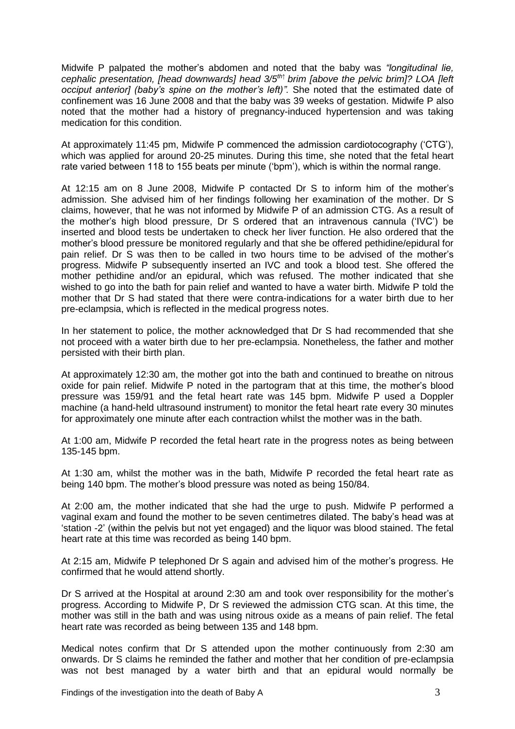Midwife P palpated the mother's abdomen and noted that the baby was *"longitudinal lie, cephalic presentation, [head downwards] head 3/5th↑ brim [above the pelvic brim]? LOA [left occiput anterior] (baby's spine on the mother's left)".* She noted that the estimated date of confinement was 16 June 2008 and that the baby was 39 weeks of gestation. Midwife P also noted that the mother had a history of pregnancy-induced hypertension and was taking medication for this condition.

At approximately 11:45 pm, Midwife P commenced the admission cardiotocography ('CTG'), which was applied for around 20-25 minutes. During this time, she noted that the fetal heart rate varied between 118 to 155 beats per minute ('bpm'), which is within the normal range.

At 12:15 am on 8 June 2008, Midwife P contacted Dr S to inform him of the mother's admission. She advised him of her findings following her examination of the mother. Dr S claims, however, that he was not informed by Midwife P of an admission CTG. As a result of the mother's high blood pressure, Dr S ordered that an intravenous cannula ('IVC') be inserted and blood tests be undertaken to check her liver function. He also ordered that the mother's blood pressure be monitored regularly and that she be offered pethidine/epidural for pain relief. Dr S was then to be called in two hours time to be advised of the mother's progress. Midwife P subsequently inserted an IVC and took a blood test. She offered the mother pethidine and/or an epidural, which was refused. The mother indicated that she wished to go into the bath for pain relief and wanted to have a water birth. Midwife P told the mother that Dr S had stated that there were contra-indications for a water birth due to her pre-eclampsia, which is reflected in the medical progress notes.

In her statement to police, the mother acknowledged that Dr S had recommended that she not proceed with a water birth due to her pre-eclampsia. Nonetheless, the father and mother persisted with their birth plan.

At approximately 12:30 am, the mother got into the bath and continued to breathe on nitrous oxide for pain relief. Midwife P noted in the partogram that at this time, the mother's blood pressure was 159/91 and the fetal heart rate was 145 bpm. Midwife P used a Doppler machine (a hand-held ultrasound instrument) to monitor the fetal heart rate every 30 minutes for approximately one minute after each contraction whilst the mother was in the bath.

At 1:00 am, Midwife P recorded the fetal heart rate in the progress notes as being between 135-145 bpm.

At 1:30 am, whilst the mother was in the bath, Midwife P recorded the fetal heart rate as being 140 bpm. The mother's blood pressure was noted as being 150/84.

At 2:00 am, the mother indicated that she had the urge to push. Midwife P performed a vaginal exam and found the mother to be seven centimetres dilated. The baby's head was at 'station -2' (within the pelvis but not yet engaged) and the liquor was blood stained. The fetal heart rate at this time was recorded as being 140 bpm.

At 2:15 am, Midwife P telephoned Dr S again and advised him of the mother's progress. He confirmed that he would attend shortly.

Dr S arrived at the Hospital at around 2:30 am and took over responsibility for the mother's progress. According to Midwife P, Dr S reviewed the admission CTG scan. At this time, the mother was still in the bath and was using nitrous oxide as a means of pain relief. The fetal heart rate was recorded as being between 135 and 148 bpm.

Medical notes confirm that Dr S attended upon the mother continuously from 2:30 am onwards. Dr S claims he reminded the father and mother that her condition of pre-eclampsia was not best managed by a water birth and that an epidural would normally be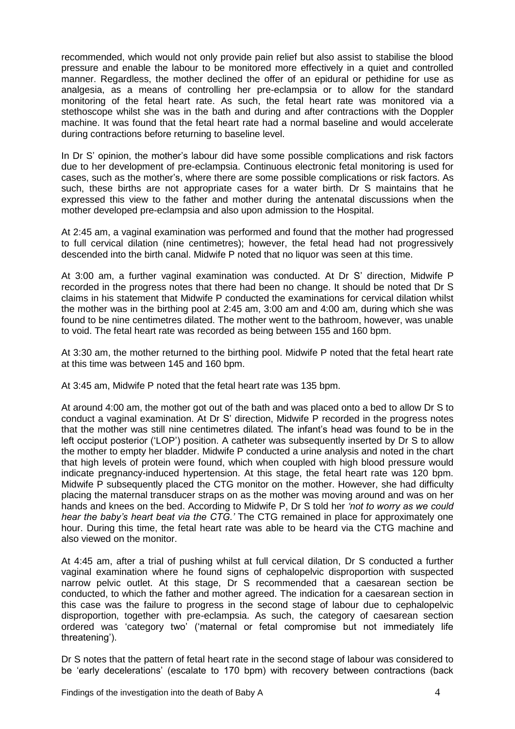recommended, which would not only provide pain relief but also assist to stabilise the blood pressure and enable the labour to be monitored more effectively in a quiet and controlled manner. Regardless, the mother declined the offer of an epidural or pethidine for use as analgesia, as a means of controlling her pre-eclampsia or to allow for the standard monitoring of the fetal heart rate. As such, the fetal heart rate was monitored via a stethoscope whilst she was in the bath and during and after contractions with the Doppler machine. It was found that the fetal heart rate had a normal baseline and would accelerate during contractions before returning to baseline level.

In Dr S' opinion, the mother's labour did have some possible complications and risk factors due to her development of pre-eclampsia. Continuous electronic fetal monitoring is used for cases, such as the mother's, where there are some possible complications or risk factors. As such, these births are not appropriate cases for a water birth. Dr S maintains that he expressed this view to the father and mother during the antenatal discussions when the mother developed pre-eclampsia and also upon admission to the Hospital.

At 2:45 am, a vaginal examination was performed and found that the mother had progressed to full cervical dilation (nine centimetres); however, the fetal head had not progressively descended into the birth canal. Midwife P noted that no liquor was seen at this time.

At 3:00 am, a further vaginal examination was conducted. At Dr S' direction, Midwife P recorded in the progress notes that there had been no change. It should be noted that Dr S claims in his statement that Midwife P conducted the examinations for cervical dilation whilst the mother was in the birthing pool at 2:45 am, 3:00 am and 4:00 am, during which she was found to be nine centimetres dilated. The mother went to the bathroom, however, was unable to void. The fetal heart rate was recorded as being between 155 and 160 bpm.

At 3:30 am, the mother returned to the birthing pool. Midwife P noted that the fetal heart rate at this time was between 145 and 160 bpm.

At 3:45 am, Midwife P noted that the fetal heart rate was 135 bpm.

At around 4:00 am, the mother got out of the bath and was placed onto a bed to allow Dr S to conduct a vaginal examination. At Dr S' direction, Midwife P recorded in the progress notes that the mother was still nine centimetres dilated*.* The infant's head was found to be in the left occiput posterior ('LOP') position. A catheter was subsequently inserted by Dr S to allow the mother to empty her bladder. Midwife P conducted a urine analysis and noted in the chart that high levels of protein were found, which when coupled with high blood pressure would indicate pregnancy-induced hypertension. At this stage, the fetal heart rate was 120 bpm. Midwife P subsequently placed the CTG monitor on the mother. However, she had difficulty placing the maternal transducer straps on as the mother was moving around and was on her hands and knees on the bed. According to Midwife P, Dr S told her *'not to worry as we could hear the baby's heart beat via the CTG.'* The CTG remained in place for approximately one hour. During this time, the fetal heart rate was able to be heard via the CTG machine and also viewed on the monitor.

At 4:45 am, after a trial of pushing whilst at full cervical dilation, Dr S conducted a further vaginal examination where he found signs of cephalopelvic disproportion with suspected narrow pelvic outlet. At this stage, Dr S recommended that a caesarean section be conducted, to which the father and mother agreed. The indication for a caesarean section in this case was the failure to progress in the second stage of labour due to cephalopelvic disproportion, together with pre-eclampsia. As such, the category of caesarean section ordered was 'category two' ('maternal or fetal compromise but not immediately life threatening').

Dr S notes that the pattern of fetal heart rate in the second stage of labour was considered to be 'early decelerations' (escalate to 170 bpm) with recovery between contractions (back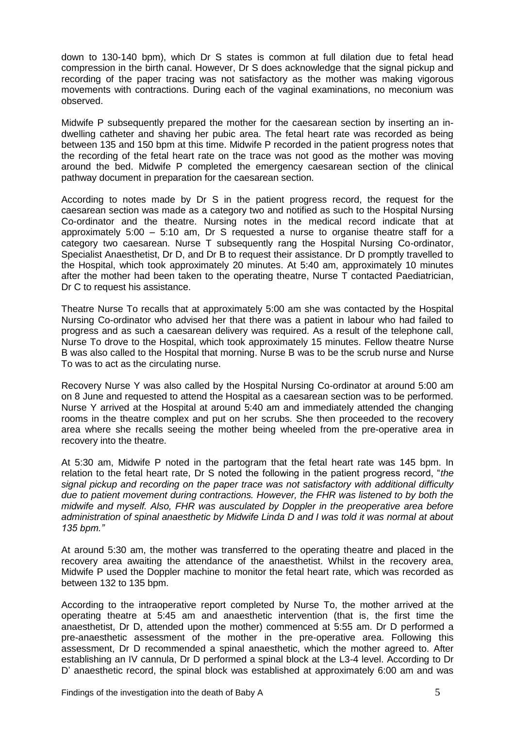down to 130-140 bpm), which Dr S states is common at full dilation due to fetal head compression in the birth canal. However, Dr S does acknowledge that the signal pickup and recording of the paper tracing was not satisfactory as the mother was making vigorous movements with contractions. During each of the vaginal examinations, no meconium was observed.

Midwife P subsequently prepared the mother for the caesarean section by inserting an indwelling catheter and shaving her pubic area. The fetal heart rate was recorded as being between 135 and 150 bpm at this time. Midwife P recorded in the patient progress notes that the recording of the fetal heart rate on the trace was not good as the mother was moving around the bed. Midwife P completed the emergency caesarean section of the clinical pathway document in preparation for the caesarean section.

According to notes made by Dr S in the patient progress record, the request for the caesarean section was made as a category two and notified as such to the Hospital Nursing Co-ordinator and the theatre. Nursing notes in the medical record indicate that at approximately 5:00 – 5:10 am, Dr S requested a nurse to organise theatre staff for a category two caesarean. Nurse T subsequently rang the Hospital Nursing Co-ordinator, Specialist Anaesthetist, Dr D, and Dr B to request their assistance. Dr D promptly travelled to the Hospital, which took approximately 20 minutes. At 5:40 am, approximately 10 minutes after the mother had been taken to the operating theatre, Nurse T contacted Paediatrician, Dr C to request his assistance.

Theatre Nurse To recalls that at approximately 5:00 am she was contacted by the Hospital Nursing Co-ordinator who advised her that there was a patient in labour who had failed to progress and as such a caesarean delivery was required. As a result of the telephone call, Nurse To drove to the Hospital, which took approximately 15 minutes. Fellow theatre Nurse B was also called to the Hospital that morning. Nurse B was to be the scrub nurse and Nurse To was to act as the circulating nurse.

Recovery Nurse Y was also called by the Hospital Nursing Co-ordinator at around 5:00 am on 8 June and requested to attend the Hospital as a caesarean section was to be performed. Nurse Y arrived at the Hospital at around 5:40 am and immediately attended the changing rooms in the theatre complex and put on her scrubs. She then proceeded to the recovery area where she recalls seeing the mother being wheeled from the pre-operative area in recovery into the theatre.

At 5:30 am, Midwife P noted in the partogram that the fetal heart rate was 145 bpm. In relation to the fetal heart rate, Dr S noted the following in the patient progress record, "*the signal pickup and recording on the paper trace was not satisfactory with additional difficulty due to patient movement during contractions. However, the FHR was listened to by both the midwife and myself. Also, FHR was ausculated by Doppler in the preoperative area before administration of spinal anaesthetic by Midwife Linda D and I was told it was normal at about 135 bpm."*

At around 5:30 am, the mother was transferred to the operating theatre and placed in the recovery area awaiting the attendance of the anaesthetist. Whilst in the recovery area, Midwife P used the Doppler machine to monitor the fetal heart rate, which was recorded as between 132 to 135 bpm.

According to the intraoperative report completed by Nurse To, the mother arrived at the operating theatre at 5:45 am and anaesthetic intervention (that is, the first time the anaesthetist, Dr D, attended upon the mother) commenced at 5:55 am. Dr D performed a pre-anaesthetic assessment of the mother in the pre-operative area. Following this assessment, Dr D recommended a spinal anaesthetic, which the mother agreed to. After establishing an IV cannula, Dr D performed a spinal block at the L3-4 level. According to Dr D' anaesthetic record, the spinal block was established at approximately 6:00 am and was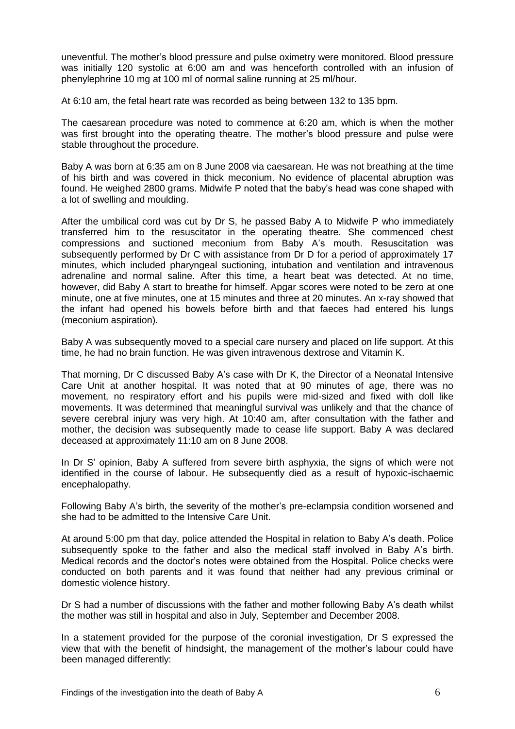uneventful. The mother's blood pressure and pulse oximetry were monitored. Blood pressure was initially 120 systolic at 6:00 am and was henceforth controlled with an infusion of phenylephrine 10 mg at 100 ml of normal saline running at 25 ml/hour.

At 6:10 am, the fetal heart rate was recorded as being between 132 to 135 bpm.

The caesarean procedure was noted to commence at 6:20 am, which is when the mother was first brought into the operating theatre. The mother's blood pressure and pulse were stable throughout the procedure.

Baby A was born at 6:35 am on 8 June 2008 via caesarean. He was not breathing at the time of his birth and was covered in thick meconium. No evidence of placental abruption was found. He weighed 2800 grams. Midwife P noted that the baby's head was cone shaped with a lot of swelling and moulding.

After the umbilical cord was cut by Dr S, he passed Baby A to Midwife P who immediately transferred him to the resuscitator in the operating theatre. She commenced chest compressions and suctioned meconium from Baby A's mouth. Resuscitation was subsequently performed by Dr C with assistance from Dr D for a period of approximately 17 minutes, which included pharyngeal suctioning, intubation and ventilation and intravenous adrenaline and normal saline. After this time, a heart beat was detected. At no time, however, did Baby A start to breathe for himself. Apgar scores were noted to be zero at one minute, one at five minutes, one at 15 minutes and three at 20 minutes. An x-ray showed that the infant had opened his bowels before birth and that faeces had entered his lungs (meconium aspiration).

Baby A was subsequently moved to a special care nursery and placed on life support. At this time, he had no brain function. He was given intravenous dextrose and Vitamin K.

That morning, Dr C discussed Baby A's case with Dr K, the Director of a Neonatal Intensive Care Unit at another hospital. It was noted that at 90 minutes of age, there was no movement, no respiratory effort and his pupils were mid-sized and fixed with doll like movements. It was determined that meaningful survival was unlikely and that the chance of severe cerebral injury was very high. At 10:40 am, after consultation with the father and mother, the decision was subsequently made to cease life support. Baby A was declared deceased at approximately 11:10 am on 8 June 2008.

In Dr S' opinion, Baby A suffered from severe birth asphyxia, the signs of which were not identified in the course of labour. He subsequently died as a result of hypoxic-ischaemic encephalopathy.

Following Baby A's birth, the severity of the mother's pre-eclampsia condition worsened and she had to be admitted to the Intensive Care Unit.

At around 5:00 pm that day, police attended the Hospital in relation to Baby A's death. Police subsequently spoke to the father and also the medical staff involved in Baby A's birth. Medical records and the doctor's notes were obtained from the Hospital. Police checks were conducted on both parents and it was found that neither had any previous criminal or domestic violence history.

Dr S had a number of discussions with the father and mother following Baby A's death whilst the mother was still in hospital and also in July, September and December 2008.

In a statement provided for the purpose of the coronial investigation, Dr S expressed the view that with the benefit of hindsight, the management of the mother's labour could have been managed differently: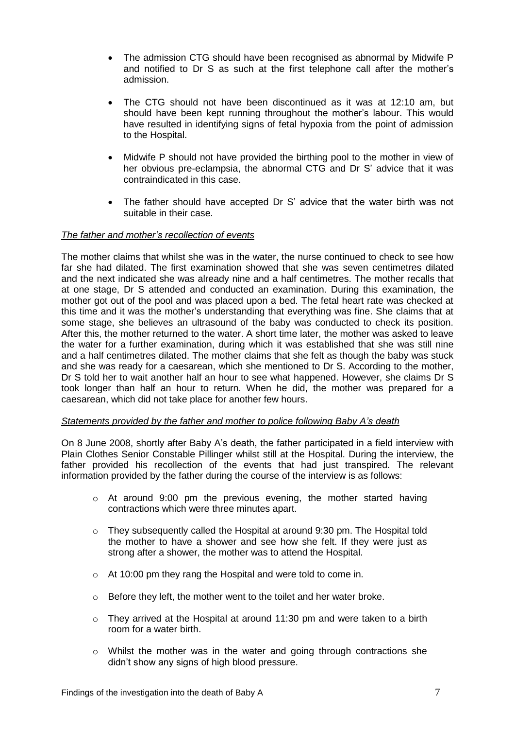- The admission CTG should have been recognised as abnormal by Midwife P and notified to Dr S as such at the first telephone call after the mother's admission.
- The CTG should not have been discontinued as it was at 12:10 am, but should have been kept running throughout the mother's labour. This would have resulted in identifying signs of fetal hypoxia from the point of admission to the Hospital.
- Midwife P should not have provided the birthing pool to the mother in view of her obvious pre-eclampsia, the abnormal CTG and Dr S' advice that it was contraindicated in this case.
- The father should have accepted Dr S' advice that the water birth was not suitable in their case.

# *The father and mother's recollection of events*

The mother claims that whilst she was in the water, the nurse continued to check to see how far she had dilated. The first examination showed that she was seven centimetres dilated and the next indicated she was already nine and a half centimetres. The mother recalls that at one stage, Dr S attended and conducted an examination. During this examination, the mother got out of the pool and was placed upon a bed. The fetal heart rate was checked at this time and it was the mother's understanding that everything was fine. She claims that at some stage, she believes an ultrasound of the baby was conducted to check its position. After this, the mother returned to the water. A short time later, the mother was asked to leave the water for a further examination, during which it was established that she was still nine and a half centimetres dilated. The mother claims that she felt as though the baby was stuck and she was ready for a caesarean, which she mentioned to Dr S. According to the mother, Dr S told her to wait another half an hour to see what happened. However, she claims Dr S took longer than half an hour to return. When he did, the mother was prepared for a caesarean, which did not take place for another few hours.

#### *Statements provided by the father and mother to police following Baby A's death*

On 8 June 2008, shortly after Baby A's death, the father participated in a field interview with Plain Clothes Senior Constable Pillinger whilst still at the Hospital. During the interview, the father provided his recollection of the events that had just transpired. The relevant information provided by the father during the course of the interview is as follows:

- $\circ$  At around 9:00 pm the previous evening, the mother started having contractions which were three minutes apart.
- $\circ$  They subsequently called the Hospital at around 9:30 pm. The Hospital told the mother to have a shower and see how she felt. If they were just as strong after a shower, the mother was to attend the Hospital.
- o At 10:00 pm they rang the Hospital and were told to come in.
- o Before they left, the mother went to the toilet and her water broke.
- o They arrived at the Hospital at around 11:30 pm and were taken to a birth room for a water birth.
- $\circ$  Whilst the mother was in the water and going through contractions she didn't show any signs of high blood pressure.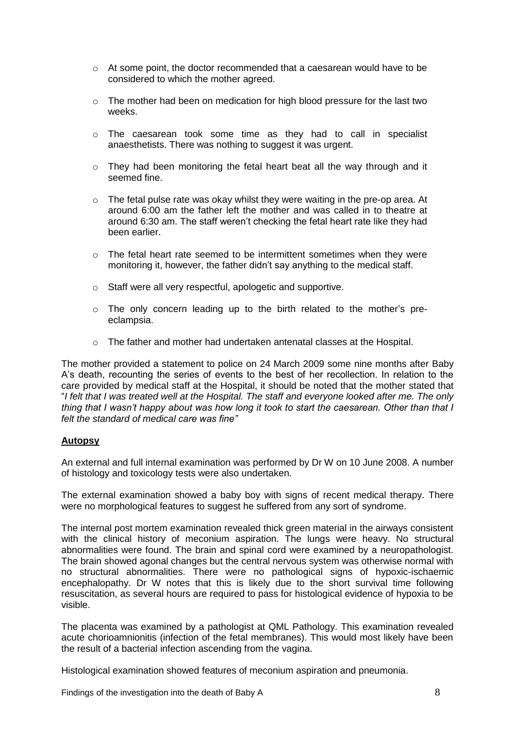- $\circ$  At some point, the doctor recommended that a caesarean would have to be considered to which the mother agreed.
- $\circ$  The mother had been on medication for high blood pressure for the last two weeks.
- $\circ$  The caesarean took some time as they had to call in specialist anaesthetists. There was nothing to suggest it was urgent.
- o They had been monitoring the fetal heart beat all the way through and it seemed fine.
- o The fetal pulse rate was okay whilst they were waiting in the pre-op area. At around 6:00 am the father left the mother and was called in to theatre at around 6:30 am. The staff weren't checking the fetal heart rate like they had been earlier.
- $\circ$  The fetal heart rate seemed to be intermittent sometimes when they were monitoring it, however, the father didn't say anything to the medical staff.
- o Staff were all very respectful, apologetic and supportive.
- $\circ$  The only concern leading up to the birth related to the mother's preeclampsia.
- o The father and mother had undertaken antenatal classes at the Hospital.

The mother provided a statement to police on 24 March 2009 some nine months after Baby A's death, recounting the series of events to the best of her recollection. In relation to the care provided by medical staff at the Hospital, it should be noted that the mother stated that "*I felt that I was treated well at the Hospital. The staff and everyone looked after me. The only thing that I wasn't happy about was how long it took to start the caesarean. Other than that I felt the standard of medical care was fine"*

# **Autopsy**

An external and full internal examination was performed by Dr W on 10 June 2008. A number of histology and toxicology tests were also undertaken.

The external examination showed a baby boy with signs of recent medical therapy. There were no morphological features to suggest he suffered from any sort of syndrome.

The internal post mortem examination revealed thick green material in the airways consistent with the clinical history of meconium aspiration. The lungs were heavy. No structural abnormalities were found. The brain and spinal cord were examined by a neuropathologist. The brain showed agonal changes but the central nervous system was otherwise normal with no structural abnormalities. There were no pathological signs of hypoxic-ischaemic encephalopathy. Dr W notes that this is likely due to the short survival time following resuscitation, as several hours are required to pass for histological evidence of hypoxia to be visible.

The placenta was examined by a pathologist at QML Pathology. This examination revealed acute chorioamnionitis (infection of the fetal membranes). This would most likely have been the result of a bacterial infection ascending from the vagina.

Histological examination showed features of meconium aspiration and pneumonia.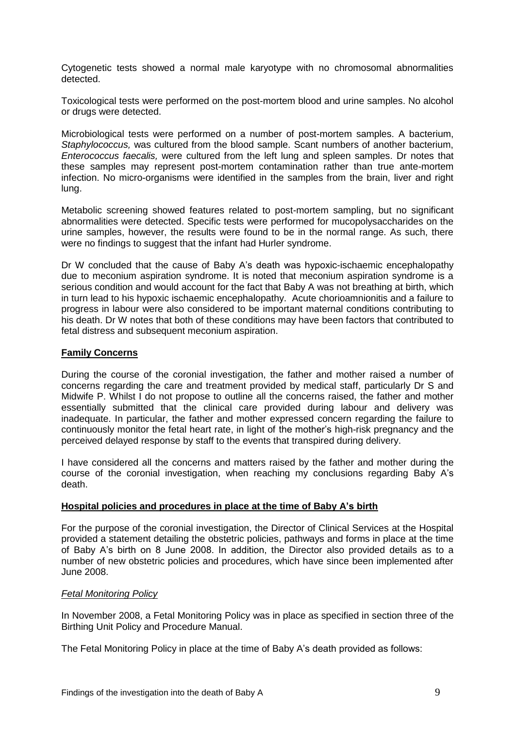Cytogenetic tests showed a normal male karyotype with no chromosomal abnormalities detected.

Toxicological tests were performed on the post-mortem blood and urine samples. No alcohol or drugs were detected.

Microbiological tests were performed on a number of post-mortem samples. A bacterium, *Staphylococcus,* was cultured from the blood sample. Scant numbers of another bacterium, *Enterococcus faecalis,* were cultured from the left lung and spleen samples. Dr notes that these samples may represent post-mortem contamination rather than true ante-mortem infection. No micro-organisms were identified in the samples from the brain, liver and right lung.

Metabolic screening showed features related to post-mortem sampling, but no significant abnormalities were detected. Specific tests were performed for mucopolysaccharides on the urine samples, however, the results were found to be in the normal range. As such, there were no findings to suggest that the infant had Hurler syndrome.

Dr W concluded that the cause of Baby A's death was hypoxic-ischaemic encephalopathy due to meconium aspiration syndrome. It is noted that meconium aspiration syndrome is a serious condition and would account for the fact that Baby A was not breathing at birth, which in turn lead to his hypoxic ischaemic encephalopathy. Acute chorioamnionitis and a failure to progress in labour were also considered to be important maternal conditions contributing to his death. Dr W notes that both of these conditions may have been factors that contributed to fetal distress and subsequent meconium aspiration.

# **Family Concerns**

During the course of the coronial investigation, the father and mother raised a number of concerns regarding the care and treatment provided by medical staff, particularly Dr S and Midwife P. Whilst I do not propose to outline all the concerns raised, the father and mother essentially submitted that the clinical care provided during labour and delivery was inadequate. In particular, the father and mother expressed concern regarding the failure to continuously monitor the fetal heart rate, in light of the mother's high-risk pregnancy and the perceived delayed response by staff to the events that transpired during delivery.

I have considered all the concerns and matters raised by the father and mother during the course of the coronial investigation, when reaching my conclusions regarding Baby A's death.

# **Hospital policies and procedures in place at the time of Baby A's birth**

For the purpose of the coronial investigation, the Director of Clinical Services at the Hospital provided a statement detailing the obstetric policies, pathways and forms in place at the time of Baby A's birth on 8 June 2008. In addition, the Director also provided details as to a number of new obstetric policies and procedures, which have since been implemented after June 2008.

#### *Fetal Monitoring Policy*

In November 2008, a Fetal Monitoring Policy was in place as specified in section three of the Birthing Unit Policy and Procedure Manual.

The Fetal Monitoring Policy in place at the time of Baby A's death provided as follows: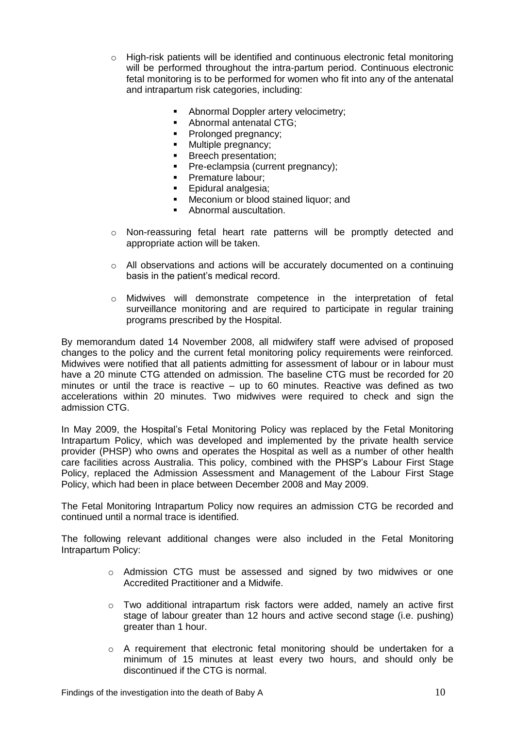- $\circ$  High-risk patients will be identified and continuous electronic fetal monitoring will be performed throughout the intra-partum period. Continuous electronic fetal monitoring is to be performed for women who fit into any of the antenatal and intrapartum risk categories, including:
	- Abnormal Doppler artery velocimetry:
	- Abnormal antenatal CTG;
	- Prolonged pregnancy;
	- Multiple pregnancy;
	- **Breech presentation;**
	- **Pre-eclampsia (current pregnancy);**
	- **Premature labour:**
	- **Epidural analgesia:**
	- **Meconium or blood stained liquor; and**
	- **Abnormal auscultation.**
- o Non-reassuring fetal heart rate patterns will be promptly detected and appropriate action will be taken.
- o All observations and actions will be accurately documented on a continuing basis in the patient's medical record.
- o Midwives will demonstrate competence in the interpretation of fetal surveillance monitoring and are required to participate in regular training programs prescribed by the Hospital.

By memorandum dated 14 November 2008, all midwifery staff were advised of proposed changes to the policy and the current fetal monitoring policy requirements were reinforced. Midwives were notified that all patients admitting for assessment of labour or in labour must have a 20 minute CTG attended on admission. The baseline CTG must be recorded for 20 minutes or until the trace is reactive – up to 60 minutes. Reactive was defined as two accelerations within 20 minutes. Two midwives were required to check and sign the admission CTG.

In May 2009, the Hospital's Fetal Monitoring Policy was replaced by the Fetal Monitoring Intrapartum Policy, which was developed and implemented by the private health service provider (PHSP) who owns and operates the Hospital as well as a number of other health care facilities across Australia. This policy, combined with the PHSP's Labour First Stage Policy, replaced the Admission Assessment and Management of the Labour First Stage Policy, which had been in place between December 2008 and May 2009.

The Fetal Monitoring Intrapartum Policy now requires an admission CTG be recorded and continued until a normal trace is identified.

The following relevant additional changes were also included in the Fetal Monitoring Intrapartum Policy:

- o Admission CTG must be assessed and signed by two midwives or one Accredited Practitioner and a Midwife.
- $\circ$  Two additional intrapartum risk factors were added, namely an active first stage of labour greater than 12 hours and active second stage (i.e. pushing) greater than 1 hour.
- o A requirement that electronic fetal monitoring should be undertaken for a minimum of 15 minutes at least every two hours, and should only be discontinued if the CTG is normal.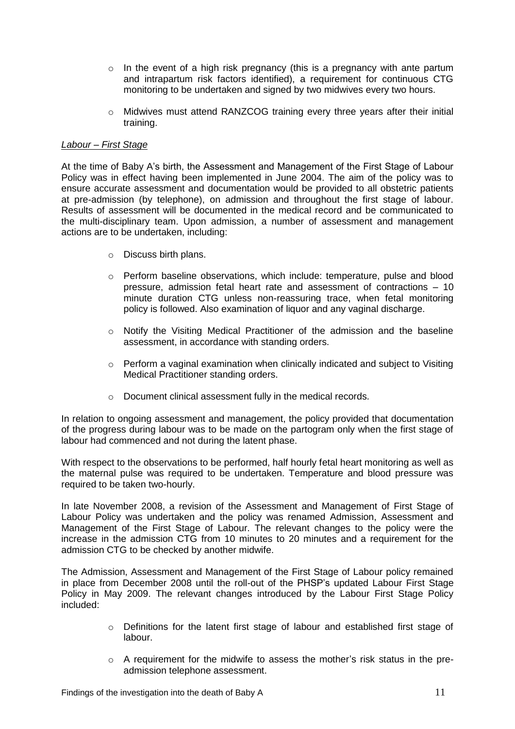- $\circ$  In the event of a high risk pregnancy (this is a pregnancy with ante partum and intrapartum risk factors identified), a requirement for continuous CTG monitoring to be undertaken and signed by two midwives every two hours.
- o Midwives must attend RANZCOG training every three years after their initial training.

## *Labour – First Stage*

At the time of Baby A's birth, the Assessment and Management of the First Stage of Labour Policy was in effect having been implemented in June 2004. The aim of the policy was to ensure accurate assessment and documentation would be provided to all obstetric patients at pre-admission (by telephone), on admission and throughout the first stage of labour. Results of assessment will be documented in the medical record and be communicated to the multi-disciplinary team. Upon admission, a number of assessment and management actions are to be undertaken, including:

- o Discuss birth plans.
- o Perform baseline observations, which include: temperature, pulse and blood pressure, admission fetal heart rate and assessment of contractions – 10 minute duration CTG unless non-reassuring trace, when fetal monitoring policy is followed. Also examination of liquor and any vaginal discharge.
- $\circ$  Notify the Visiting Medical Practitioner of the admission and the baseline assessment, in accordance with standing orders.
- $\circ$  Perform a vaginal examination when clinically indicated and subject to Visiting Medical Practitioner standing orders.
- o Document clinical assessment fully in the medical records.

In relation to ongoing assessment and management, the policy provided that documentation of the progress during labour was to be made on the partogram only when the first stage of labour had commenced and not during the latent phase.

With respect to the observations to be performed, half hourly fetal heart monitoring as well as the maternal pulse was required to be undertaken. Temperature and blood pressure was required to be taken two-hourly.

In late November 2008, a revision of the Assessment and Management of First Stage of Labour Policy was undertaken and the policy was renamed Admission, Assessment and Management of the First Stage of Labour. The relevant changes to the policy were the increase in the admission CTG from 10 minutes to 20 minutes and a requirement for the admission CTG to be checked by another midwife.

The Admission, Assessment and Management of the First Stage of Labour policy remained in place from December 2008 until the roll-out of the PHSP's updated Labour First Stage Policy in May 2009. The relevant changes introduced by the Labour First Stage Policy included:

- $\circ$  Definitions for the latent first stage of labour and established first stage of labour.
- o A requirement for the midwife to assess the mother's risk status in the preadmission telephone assessment.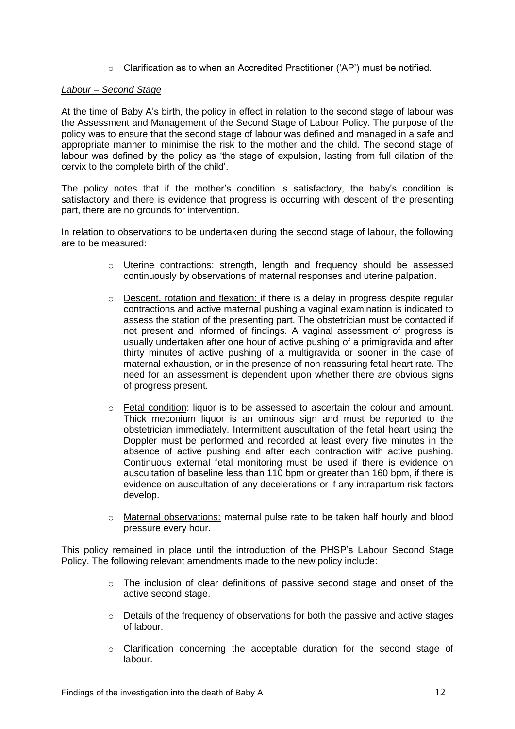$\circ$  Clarification as to when an Accredited Practitioner ('AP') must be notified.

#### *Labour – Second Stage*

At the time of Baby A's birth, the policy in effect in relation to the second stage of labour was the Assessment and Management of the Second Stage of Labour Policy. The purpose of the policy was to ensure that the second stage of labour was defined and managed in a safe and appropriate manner to minimise the risk to the mother and the child. The second stage of labour was defined by the policy as 'the stage of expulsion, lasting from full dilation of the cervix to the complete birth of the child'.

The policy notes that if the mother's condition is satisfactory, the baby's condition is satisfactory and there is evidence that progress is occurring with descent of the presenting part, there are no grounds for intervention.

In relation to observations to be undertaken during the second stage of labour, the following are to be measured:

- o Uterine contractions: strength, length and frequency should be assessed continuously by observations of maternal responses and uterine palpation.
- o Descent, rotation and flexation: if there is a delay in progress despite regular contractions and active maternal pushing a vaginal examination is indicated to assess the station of the presenting part. The obstetrician must be contacted if not present and informed of findings. A vaginal assessment of progress is usually undertaken after one hour of active pushing of a primigravida and after thirty minutes of active pushing of a multigravida or sooner in the case of maternal exhaustion, or in the presence of non reassuring fetal heart rate. The need for an assessment is dependent upon whether there are obvious signs of progress present.
- $\circ$  Fetal condition: liquor is to be assessed to ascertain the colour and amount. Thick meconium liquor is an ominous sign and must be reported to the obstetrician immediately. Intermittent auscultation of the fetal heart using the Doppler must be performed and recorded at least every five minutes in the absence of active pushing and after each contraction with active pushing. Continuous external fetal monitoring must be used if there is evidence on auscultation of baseline less than 110 bpm or greater than 160 bpm, if there is evidence on auscultation of any decelerations or if any intrapartum risk factors develop.
- o Maternal observations: maternal pulse rate to be taken half hourly and blood pressure every hour.

This policy remained in place until the introduction of the PHSP's Labour Second Stage Policy. The following relevant amendments made to the new policy include:

- $\circ$  The inclusion of clear definitions of passive second stage and onset of the active second stage.
- $\circ$  Details of the frequency of observations for both the passive and active stages of labour.
- o Clarification concerning the acceptable duration for the second stage of labour.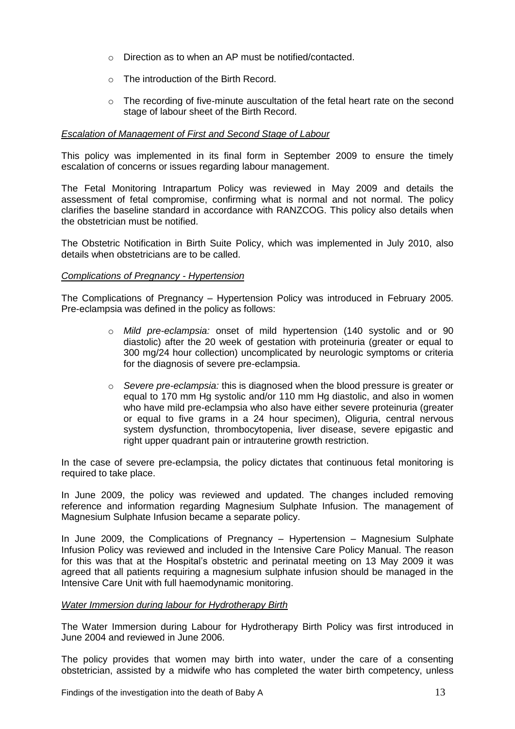- o Direction as to when an AP must be notified/contacted.
- o The introduction of the Birth Record.
- $\circ$  The recording of five-minute auscultation of the fetal heart rate on the second stage of labour sheet of the Birth Record.

## *Escalation of Management of First and Second Stage of Labour*

This policy was implemented in its final form in September 2009 to ensure the timely escalation of concerns or issues regarding labour management.

The Fetal Monitoring Intrapartum Policy was reviewed in May 2009 and details the assessment of fetal compromise, confirming what is normal and not normal. The policy clarifies the baseline standard in accordance with RANZCOG. This policy also details when the obstetrician must be notified.

The Obstetric Notification in Birth Suite Policy, which was implemented in July 2010, also details when obstetricians are to be called.

## *Complications of Pregnancy - Hypertension*

The Complications of Pregnancy – Hypertension Policy was introduced in February 2005. Pre-eclampsia was defined in the policy as follows:

- o *Mild pre-eclampsia:* onset of mild hypertension (140 systolic and or 90 diastolic) after the 20 week of gestation with proteinuria (greater or equal to 300 mg/24 hour collection) uncomplicated by neurologic symptoms or criteria for the diagnosis of severe pre-eclampsia.
- o *Severe pre-eclampsia:* this is diagnosed when the blood pressure is greater or equal to 170 mm Hg systolic and/or 110 mm Hg diastolic, and also in women who have mild pre-eclampsia who also have either severe proteinuria (greater or equal to five grams in a 24 hour specimen), Oliguria, central nervous system dysfunction, thrombocytopenia, liver disease, severe epigastic and right upper quadrant pain or intrauterine growth restriction.

In the case of severe pre-eclampsia, the policy dictates that continuous fetal monitoring is required to take place.

In June 2009, the policy was reviewed and updated. The changes included removing reference and information regarding Magnesium Sulphate Infusion. The management of Magnesium Sulphate Infusion became a separate policy.

In June 2009, the Complications of Pregnancy – Hypertension – Magnesium Sulphate Infusion Policy was reviewed and included in the Intensive Care Policy Manual. The reason for this was that at the Hospital's obstetric and perinatal meeting on 13 May 2009 it was agreed that all patients requiring a magnesium sulphate infusion should be managed in the Intensive Care Unit with full haemodynamic monitoring.

#### *Water Immersion during labour for Hydrotherapy Birth*

The Water Immersion during Labour for Hydrotherapy Birth Policy was first introduced in June 2004 and reviewed in June 2006.

The policy provides that women may birth into water, under the care of a consenting obstetrician, assisted by a midwife who has completed the water birth competency, unless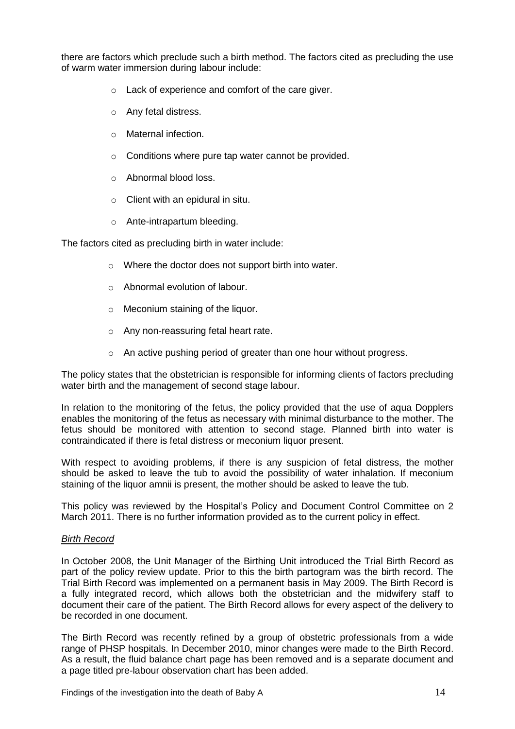there are factors which preclude such a birth method. The factors cited as precluding the use of warm water immersion during labour include:

- o Lack of experience and comfort of the care giver.
- o Any fetal distress.
- o Maternal infection.
- o Conditions where pure tap water cannot be provided.
- o Abnormal blood loss.
- $\circ$  Client with an epidural in situ.
- o Ante-intrapartum bleeding.

The factors cited as precluding birth in water include:

- o Where the doctor does not support birth into water.
- o Abnormal evolution of labour.
- o Meconium staining of the liquor.
- o Any non-reassuring fetal heart rate.
- o An active pushing period of greater than one hour without progress.

The policy states that the obstetrician is responsible for informing clients of factors precluding water birth and the management of second stage labour.

In relation to the monitoring of the fetus, the policy provided that the use of aqua Dopplers enables the monitoring of the fetus as necessary with minimal disturbance to the mother. The fetus should be monitored with attention to second stage. Planned birth into water is contraindicated if there is fetal distress or meconium liquor present.

With respect to avoiding problems, if there is any suspicion of fetal distress, the mother should be asked to leave the tub to avoid the possibility of water inhalation. If meconium staining of the liquor amnii is present, the mother should be asked to leave the tub.

This policy was reviewed by the Hospital's Policy and Document Control Committee on 2 March 2011. There is no further information provided as to the current policy in effect.

#### *Birth Record*

In October 2008, the Unit Manager of the Birthing Unit introduced the Trial Birth Record as part of the policy review update. Prior to this the birth partogram was the birth record. The Trial Birth Record was implemented on a permanent basis in May 2009. The Birth Record is a fully integrated record, which allows both the obstetrician and the midwifery staff to document their care of the patient. The Birth Record allows for every aspect of the delivery to be recorded in one document.

The Birth Record was recently refined by a group of obstetric professionals from a wide range of PHSP hospitals. In December 2010, minor changes were made to the Birth Record. As a result, the fluid balance chart page has been removed and is a separate document and a page titled pre-labour observation chart has been added.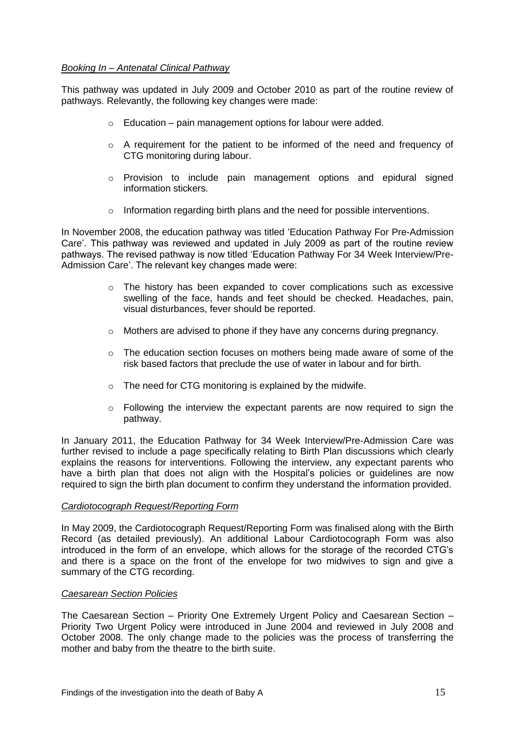## *Booking In – Antenatal Clinical Pathway*

This pathway was updated in July 2009 and October 2010 as part of the routine review of pathways. Relevantly, the following key changes were made:

- $\circ$  Education pain management options for labour were added.
- o A requirement for the patient to be informed of the need and frequency of CTG monitoring during labour.
- $\circ$  Provision to include pain management options and epidural signed information stickers.
- o Information regarding birth plans and the need for possible interventions.

In November 2008, the education pathway was titled 'Education Pathway For Pre-Admission Care'. This pathway was reviewed and updated in July 2009 as part of the routine review pathways. The revised pathway is now titled 'Education Pathway For 34 Week Interview/Pre-Admission Care'. The relevant key changes made were:

- $\circ$  The history has been expanded to cover complications such as excessive swelling of the face, hands and feet should be checked. Headaches, pain, visual disturbances, fever should be reported.
- $\circ$  Mothers are advised to phone if they have any concerns during pregnancy.
- o The education section focuses on mothers being made aware of some of the risk based factors that preclude the use of water in labour and for birth.
- o The need for CTG monitoring is explained by the midwife.
- $\circ$  Following the interview the expectant parents are now required to sign the pathway.

In January 2011, the Education Pathway for 34 Week Interview/Pre-Admission Care was further revised to include a page specifically relating to Birth Plan discussions which clearly explains the reasons for interventions. Following the interview, any expectant parents who have a birth plan that does not align with the Hospital's policies or guidelines are now required to sign the birth plan document to confirm they understand the information provided.

#### *Cardiotocograph Request/Reporting Form*

In May 2009, the Cardiotocograph Request/Reporting Form was finalised along with the Birth Record (as detailed previously). An additional Labour Cardiotocograph Form was also introduced in the form of an envelope, which allows for the storage of the recorded CTG's and there is a space on the front of the envelope for two midwives to sign and give a summary of the CTG recording.

#### *Caesarean Section Policies*

The Caesarean Section – Priority One Extremely Urgent Policy and Caesarean Section – Priority Two Urgent Policy were introduced in June 2004 and reviewed in July 2008 and October 2008. The only change made to the policies was the process of transferring the mother and baby from the theatre to the birth suite.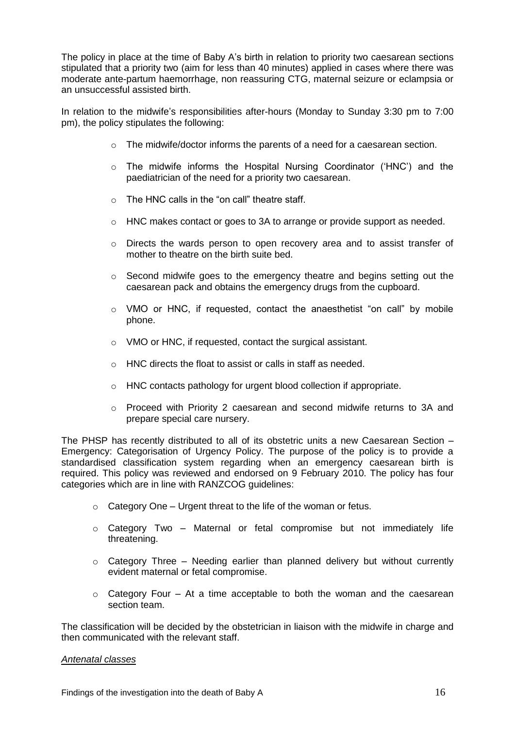The policy in place at the time of Baby A's birth in relation to priority two caesarean sections stipulated that a priority two (aim for less than 40 minutes) applied in cases where there was moderate ante-partum haemorrhage, non reassuring CTG, maternal seizure or eclampsia or an unsuccessful assisted birth.

In relation to the midwife's responsibilities after-hours (Monday to Sunday 3:30 pm to 7:00 pm), the policy stipulates the following:

- $\circ$  The midwife/doctor informs the parents of a need for a caesarean section.
- o The midwife informs the Hospital Nursing Coordinator ('HNC') and the paediatrician of the need for a priority two caesarean.
- $\circ$  The HNC calls in the "on call" theatre staff.
- o HNC makes contact or goes to 3A to arrange or provide support as needed.
- $\circ$  Directs the wards person to open recovery area and to assist transfer of mother to theatre on the birth suite bed.
- o Second midwife goes to the emergency theatre and begins setting out the caesarean pack and obtains the emergency drugs from the cupboard.
- $\circ$  VMO or HNC, if requested, contact the anaesthetist "on call" by mobile phone.
- o VMO or HNC, if requested, contact the surgical assistant.
- o HNC directs the float to assist or calls in staff as needed.
- o HNC contacts pathology for urgent blood collection if appropriate.
- $\circ$  Proceed with Priority 2 caesarean and second midwife returns to 3A and prepare special care nursery.

The PHSP has recently distributed to all of its obstetric units a new Caesarean Section – Emergency: Categorisation of Urgency Policy. The purpose of the policy is to provide a standardised classification system regarding when an emergency caesarean birth is required. This policy was reviewed and endorsed on 9 February 2010. The policy has four categories which are in line with RANZCOG guidelines:

- $\circ$  Category One Urgent threat to the life of the woman or fetus.
- $\circ$  Category Two Maternal or fetal compromise but not immediately life threatening.
- $\circ$  Category Three Needing earlier than planned delivery but without currently evident maternal or fetal compromise.
- $\circ$  Category Four At a time acceptable to both the woman and the caesarean section team.

The classification will be decided by the obstetrician in liaison with the midwife in charge and then communicated with the relevant staff.

#### *Antenatal classes*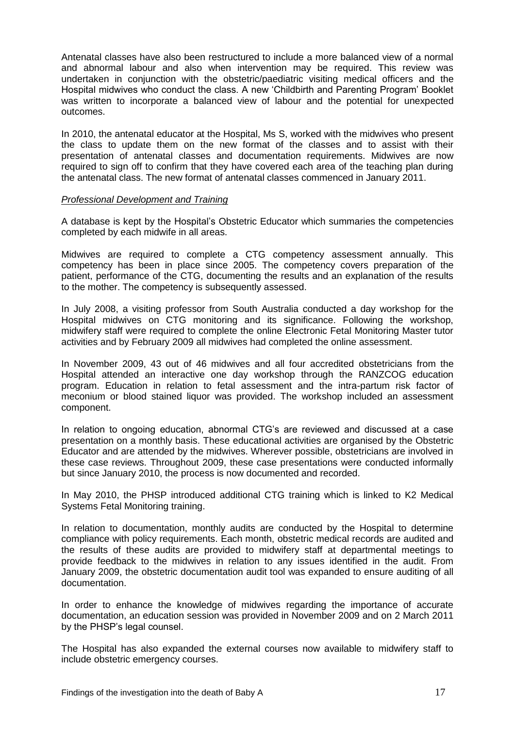Antenatal classes have also been restructured to include a more balanced view of a normal and abnormal labour and also when intervention may be required. This review was undertaken in conjunction with the obstetric/paediatric visiting medical officers and the Hospital midwives who conduct the class. A new 'Childbirth and Parenting Program' Booklet was written to incorporate a balanced view of labour and the potential for unexpected outcomes.

In 2010, the antenatal educator at the Hospital, Ms S, worked with the midwives who present the class to update them on the new format of the classes and to assist with their presentation of antenatal classes and documentation requirements. Midwives are now required to sign off to confirm that they have covered each area of the teaching plan during the antenatal class. The new format of antenatal classes commenced in January 2011.

#### *Professional Development and Training*

A database is kept by the Hospital's Obstetric Educator which summaries the competencies completed by each midwife in all areas.

Midwives are required to complete a CTG competency assessment annually. This competency has been in place since 2005. The competency covers preparation of the patient, performance of the CTG, documenting the results and an explanation of the results to the mother. The competency is subsequently assessed.

In July 2008, a visiting professor from South Australia conducted a day workshop for the Hospital midwives on CTG monitoring and its significance. Following the workshop, midwifery staff were required to complete the online Electronic Fetal Monitoring Master tutor activities and by February 2009 all midwives had completed the online assessment.

In November 2009, 43 out of 46 midwives and all four accredited obstetricians from the Hospital attended an interactive one day workshop through the RANZCOG education program. Education in relation to fetal assessment and the intra-partum risk factor of meconium or blood stained liquor was provided. The workshop included an assessment component.

In relation to ongoing education, abnormal CTG's are reviewed and discussed at a case presentation on a monthly basis. These educational activities are organised by the Obstetric Educator and are attended by the midwives. Wherever possible, obstetricians are involved in these case reviews. Throughout 2009, these case presentations were conducted informally but since January 2010, the process is now documented and recorded.

In May 2010, the PHSP introduced additional CTG training which is linked to K2 Medical Systems Fetal Monitoring training.

In relation to documentation, monthly audits are conducted by the Hospital to determine compliance with policy requirements. Each month, obstetric medical records are audited and the results of these audits are provided to midwifery staff at departmental meetings to provide feedback to the midwives in relation to any issues identified in the audit. From January 2009, the obstetric documentation audit tool was expanded to ensure auditing of all documentation.

In order to enhance the knowledge of midwives regarding the importance of accurate documentation, an education session was provided in November 2009 and on 2 March 2011 by the PHSP's legal counsel.

The Hospital has also expanded the external courses now available to midwifery staff to include obstetric emergency courses.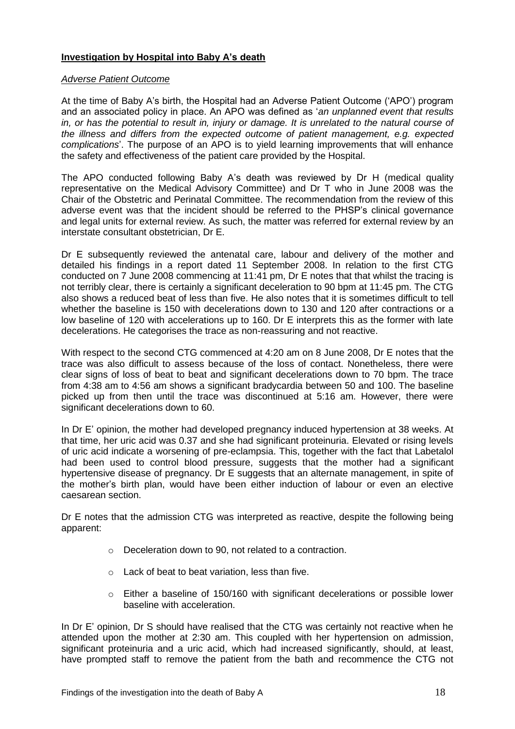# **Investigation by Hospital into Baby A's death**

# *Adverse Patient Outcome*

At the time of Baby A's birth, the Hospital had an Adverse Patient Outcome ('APO') program and an associated policy in place. An APO was defined as '*an unplanned event that results in, or has the potential to result in, injury or damage. It is unrelated to the natural course of the illness and differs from the expected outcome of patient management, e.g. expected complications*'. The purpose of an APO is to yield learning improvements that will enhance the safety and effectiveness of the patient care provided by the Hospital.

The APO conducted following Baby A's death was reviewed by Dr H (medical quality representative on the Medical Advisory Committee) and Dr T who in June 2008 was the Chair of the Obstetric and Perinatal Committee. The recommendation from the review of this adverse event was that the incident should be referred to the PHSP's clinical governance and legal units for external review. As such, the matter was referred for external review by an interstate consultant obstetrician, Dr E.

Dr E subsequently reviewed the antenatal care, labour and delivery of the mother and detailed his findings in a report dated 11 September 2008. In relation to the first CTG conducted on 7 June 2008 commencing at 11:41 pm, Dr E notes that that whilst the tracing is not terribly clear, there is certainly a significant deceleration to 90 bpm at 11:45 pm. The CTG also shows a reduced beat of less than five. He also notes that it is sometimes difficult to tell whether the baseline is 150 with decelerations down to 130 and 120 after contractions or a low baseline of 120 with accelerations up to 160. Dr E interprets this as the former with late decelerations. He categorises the trace as non-reassuring and not reactive.

With respect to the second CTG commenced at 4:20 am on 8 June 2008, Dr E notes that the trace was also difficult to assess because of the loss of contact. Nonetheless, there were clear signs of loss of beat to beat and significant decelerations down to 70 bpm. The trace from 4:38 am to 4:56 am shows a significant bradycardia between 50 and 100. The baseline picked up from then until the trace was discontinued at 5:16 am. However, there were significant decelerations down to 60.

In Dr E' opinion, the mother had developed pregnancy induced hypertension at 38 weeks. At that time, her uric acid was 0.37 and she had significant proteinuria. Elevated or rising levels of uric acid indicate a worsening of pre-eclampsia. This, together with the fact that Labetalol had been used to control blood pressure, suggests that the mother had a significant hypertensive disease of pregnancy. Dr E suggests that an alternate management, in spite of the mother's birth plan, would have been either induction of labour or even an elective caesarean section.

Dr E notes that the admission CTG was interpreted as reactive, despite the following being apparent:

- o Deceleration down to 90, not related to a contraction.
- o Lack of beat to beat variation, less than five.
- $\circ$  Either a baseline of 150/160 with significant decelerations or possible lower baseline with acceleration.

In Dr E' opinion, Dr S should have realised that the CTG was certainly not reactive when he attended upon the mother at 2:30 am. This coupled with her hypertension on admission, significant proteinuria and a uric acid, which had increased significantly, should, at least, have prompted staff to remove the patient from the bath and recommence the CTG not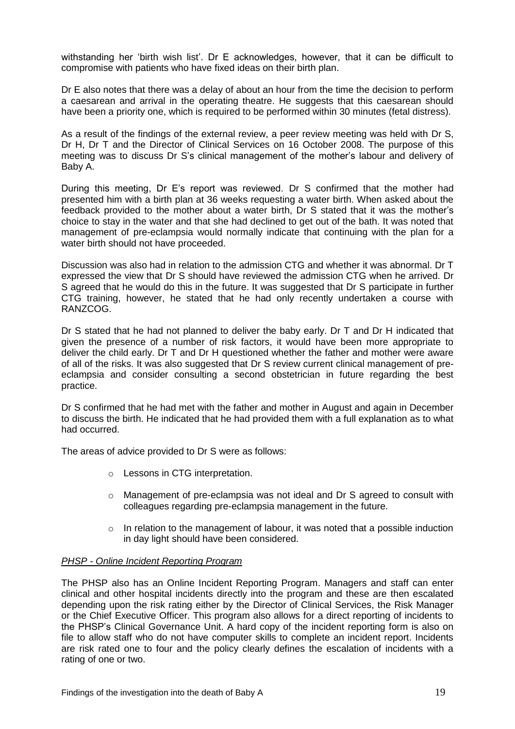withstanding her 'birth wish list'. Dr E acknowledges, however, that it can be difficult to compromise with patients who have fixed ideas on their birth plan.

Dr E also notes that there was a delay of about an hour from the time the decision to perform a caesarean and arrival in the operating theatre. He suggests that this caesarean should have been a priority one, which is required to be performed within 30 minutes (fetal distress).

As a result of the findings of the external review, a peer review meeting was held with Dr S, Dr H, Dr T and the Director of Clinical Services on 16 October 2008. The purpose of this meeting was to discuss Dr S's clinical management of the mother's labour and delivery of Baby A.

During this meeting, Dr E's report was reviewed. Dr S confirmed that the mother had presented him with a birth plan at 36 weeks requesting a water birth. When asked about the feedback provided to the mother about a water birth, Dr S stated that it was the mother's choice to stay in the water and that she had declined to get out of the bath. It was noted that management of pre-eclampsia would normally indicate that continuing with the plan for a water birth should not have proceeded.

Discussion was also had in relation to the admission CTG and whether it was abnormal. Dr T expressed the view that Dr S should have reviewed the admission CTG when he arrived. Dr S agreed that he would do this in the future. It was suggested that Dr S participate in further CTG training, however, he stated that he had only recently undertaken a course with RANZCOG.

Dr S stated that he had not planned to deliver the baby early. Dr T and Dr H indicated that given the presence of a number of risk factors, it would have been more appropriate to deliver the child early. Dr T and Dr H questioned whether the father and mother were aware of all of the risks. It was also suggested that Dr S review current clinical management of preeclampsia and consider consulting a second obstetrician in future regarding the best practice.

Dr S confirmed that he had met with the father and mother in August and again in December to discuss the birth. He indicated that he had provided them with a full explanation as to what had occurred.

The areas of advice provided to Dr S were as follows:

- o Lessons in CTG interpretation.
- $\circ$  Management of pre-eclampsia was not ideal and Dr S agreed to consult with colleagues regarding pre-eclampsia management in the future.
- $\circ$  In relation to the management of labour, it was noted that a possible induction in day light should have been considered.

#### *PHSP - Online Incident Reporting Program*

The PHSP also has an Online Incident Reporting Program. Managers and staff can enter clinical and other hospital incidents directly into the program and these are then escalated depending upon the risk rating either by the Director of Clinical Services, the Risk Manager or the Chief Executive Officer. This program also allows for a direct reporting of incidents to the PHSP's Clinical Governance Unit. A hard copy of the incident reporting form is also on file to allow staff who do not have computer skills to complete an incident report. Incidents are risk rated one to four and the policy clearly defines the escalation of incidents with a rating of one or two.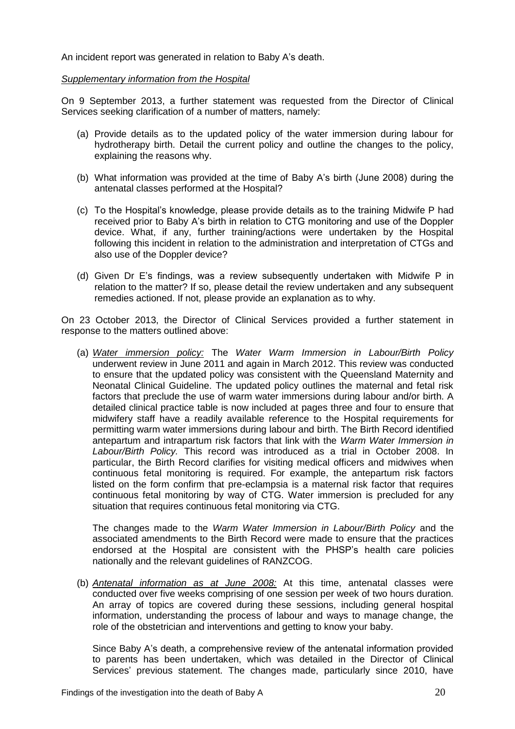An incident report was generated in relation to Baby A's death.

## *Supplementary information from the Hospital*

On 9 September 2013, a further statement was requested from the Director of Clinical Services seeking clarification of a number of matters, namely:

- (a) Provide details as to the updated policy of the water immersion during labour for hydrotherapy birth. Detail the current policy and outline the changes to the policy, explaining the reasons why.
- (b) What information was provided at the time of Baby A's birth (June 2008) during the antenatal classes performed at the Hospital?
- (c) To the Hospital's knowledge, please provide details as to the training Midwife P had received prior to Baby A's birth in relation to CTG monitoring and use of the Doppler device. What, if any, further training/actions were undertaken by the Hospital following this incident in relation to the administration and interpretation of CTGs and also use of the Doppler device?
- (d) Given Dr E's findings, was a review subsequently undertaken with Midwife P in relation to the matter? If so, please detail the review undertaken and any subsequent remedies actioned. If not, please provide an explanation as to why.

On 23 October 2013, the Director of Clinical Services provided a further statement in response to the matters outlined above:

(a) *Water immersion policy:* The *Water Warm Immersion in Labour/Birth Policy*  underwent review in June 2011 and again in March 2012. This review was conducted to ensure that the updated policy was consistent with the Queensland Maternity and Neonatal Clinical Guideline. The updated policy outlines the maternal and fetal risk factors that preclude the use of warm water immersions during labour and/or birth. A detailed clinical practice table is now included at pages three and four to ensure that midwifery staff have a readily available reference to the Hospital requirements for permitting warm water immersions during labour and birth. The Birth Record identified antepartum and intrapartum risk factors that link with the *Warm Water Immersion in Labour/Birth Policy.* This record was introduced as a trial in October 2008. In particular, the Birth Record clarifies for visiting medical officers and midwives when continuous fetal monitoring is required. For example, the antepartum risk factors listed on the form confirm that pre-eclampsia is a maternal risk factor that requires continuous fetal monitoring by way of CTG. Water immersion is precluded for any situation that requires continuous fetal monitoring via CTG.

The changes made to the *Warm Water Immersion in Labour/Birth Policy* and the associated amendments to the Birth Record were made to ensure that the practices endorsed at the Hospital are consistent with the PHSP's health care policies nationally and the relevant guidelines of RANZCOG.

(b) *Antenatal information as at June 2008:* At this time, antenatal classes were conducted over five weeks comprising of one session per week of two hours duration. An array of topics are covered during these sessions, including general hospital information, understanding the process of labour and ways to manage change, the role of the obstetrician and interventions and getting to know your baby.

Since Baby A's death, a comprehensive review of the antenatal information provided to parents has been undertaken, which was detailed in the Director of Clinical Services' previous statement. The changes made, particularly since 2010, have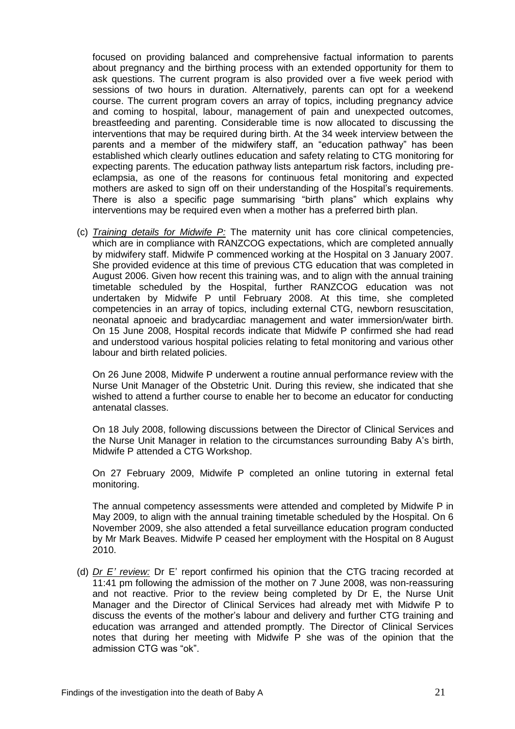focused on providing balanced and comprehensive factual information to parents about pregnancy and the birthing process with an extended opportunity for them to ask questions. The current program is also provided over a five week period with sessions of two hours in duration. Alternatively, parents can opt for a weekend course. The current program covers an array of topics, including pregnancy advice and coming to hospital, labour, management of pain and unexpected outcomes, breastfeeding and parenting. Considerable time is now allocated to discussing the interventions that may be required during birth. At the 34 week interview between the parents and a member of the midwifery staff, an "education pathway" has been established which clearly outlines education and safety relating to CTG monitoring for expecting parents. The education pathway lists antepartum risk factors, including preeclampsia, as one of the reasons for continuous fetal monitoring and expected mothers are asked to sign off on their understanding of the Hospital's requirements. There is also a specific page summarising "birth plans" which explains why interventions may be required even when a mother has a preferred birth plan.

(c) *Training details for Midwife P:* The maternity unit has core clinical competencies, which are in compliance with RANZCOG expectations, which are completed annually by midwifery staff. Midwife P commenced working at the Hospital on 3 January 2007. She provided evidence at this time of previous CTG education that was completed in August 2006. Given how recent this training was, and to align with the annual training timetable scheduled by the Hospital, further RANZCOG education was not undertaken by Midwife P until February 2008. At this time, she completed competencies in an array of topics, including external CTG, newborn resuscitation, neonatal apnoeic and bradycardiac management and water immersion/water birth. On 15 June 2008, Hospital records indicate that Midwife P confirmed she had read and understood various hospital policies relating to fetal monitoring and various other labour and birth related policies.

On 26 June 2008, Midwife P underwent a routine annual performance review with the Nurse Unit Manager of the Obstetric Unit. During this review, she indicated that she wished to attend a further course to enable her to become an educator for conducting antenatal classes.

On 18 July 2008, following discussions between the Director of Clinical Services and the Nurse Unit Manager in relation to the circumstances surrounding Baby A's birth, Midwife P attended a CTG Workshop.

On 27 February 2009, Midwife P completed an online tutoring in external fetal monitoring.

The annual competency assessments were attended and completed by Midwife P in May 2009, to align with the annual training timetable scheduled by the Hospital. On 6 November 2009, she also attended a fetal surveillance education program conducted by Mr Mark Beaves. Midwife P ceased her employment with the Hospital on 8 August 2010.

(d) *Dr E' review:* Dr E' report confirmed his opinion that the CTG tracing recorded at 11:41 pm following the admission of the mother on 7 June 2008, was non-reassuring and not reactive. Prior to the review being completed by Dr E, the Nurse Unit Manager and the Director of Clinical Services had already met with Midwife P to discuss the events of the mother's labour and delivery and further CTG training and education was arranged and attended promptly. The Director of Clinical Services notes that during her meeting with Midwife P she was of the opinion that the admission CTG was "ok".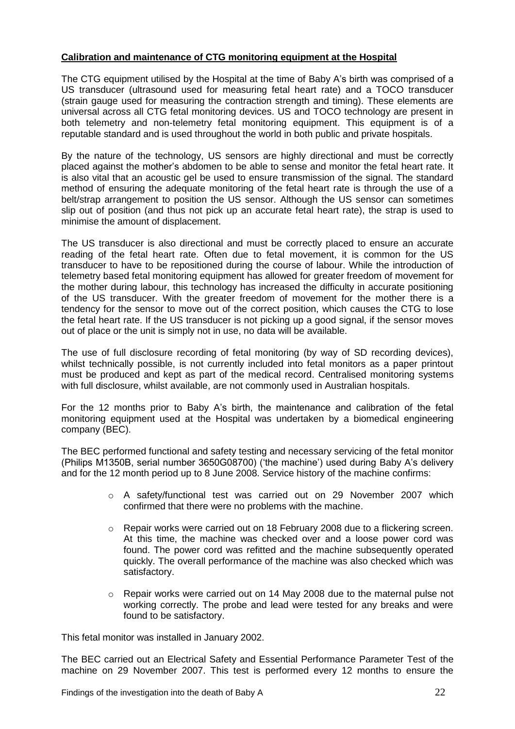# **Calibration and maintenance of CTG monitoring equipment at the Hospital**

The CTG equipment utilised by the Hospital at the time of Baby A's birth was comprised of a US transducer (ultrasound used for measuring fetal heart rate) and a TOCO transducer (strain gauge used for measuring the contraction strength and timing). These elements are universal across all CTG fetal monitoring devices. US and TOCO technology are present in both telemetry and non-telemetry fetal monitoring equipment. This equipment is of a reputable standard and is used throughout the world in both public and private hospitals.

By the nature of the technology, US sensors are highly directional and must be correctly placed against the mother's abdomen to be able to sense and monitor the fetal heart rate. It is also vital that an acoustic gel be used to ensure transmission of the signal. The standard method of ensuring the adequate monitoring of the fetal heart rate is through the use of a belt/strap arrangement to position the US sensor. Although the US sensor can sometimes slip out of position (and thus not pick up an accurate fetal heart rate), the strap is used to minimise the amount of displacement.

The US transducer is also directional and must be correctly placed to ensure an accurate reading of the fetal heart rate. Often due to fetal movement, it is common for the US transducer to have to be repositioned during the course of labour. While the introduction of telemetry based fetal monitoring equipment has allowed for greater freedom of movement for the mother during labour, this technology has increased the difficulty in accurate positioning of the US transducer. With the greater freedom of movement for the mother there is a tendency for the sensor to move out of the correct position, which causes the CTG to lose the fetal heart rate. If the US transducer is not picking up a good signal, if the sensor moves out of place or the unit is simply not in use, no data will be available.

The use of full disclosure recording of fetal monitoring (by way of SD recording devices), whilst technically possible, is not currently included into fetal monitors as a paper printout must be produced and kept as part of the medical record. Centralised monitoring systems with full disclosure, whilst available, are not commonly used in Australian hospitals.

For the 12 months prior to Baby A's birth, the maintenance and calibration of the fetal monitoring equipment used at the Hospital was undertaken by a biomedical engineering company (BEC).

The BEC performed functional and safety testing and necessary servicing of the fetal monitor (Philips M1350B, serial number 3650G08700) ('the machine') used during Baby A's delivery and for the 12 month period up to 8 June 2008. Service history of the machine confirms:

- $\circ$  A safety/functional test was carried out on 29 November 2007 which confirmed that there were no problems with the machine.
- o Repair works were carried out on 18 February 2008 due to a flickering screen. At this time, the machine was checked over and a loose power cord was found. The power cord was refitted and the machine subsequently operated quickly. The overall performance of the machine was also checked which was satisfactory.
- $\circ$  Repair works were carried out on 14 May 2008 due to the maternal pulse not working correctly. The probe and lead were tested for any breaks and were found to be satisfactory.

This fetal monitor was installed in January 2002.

The BEC carried out an Electrical Safety and Essential Performance Parameter Test of the machine on 29 November 2007. This test is performed every 12 months to ensure the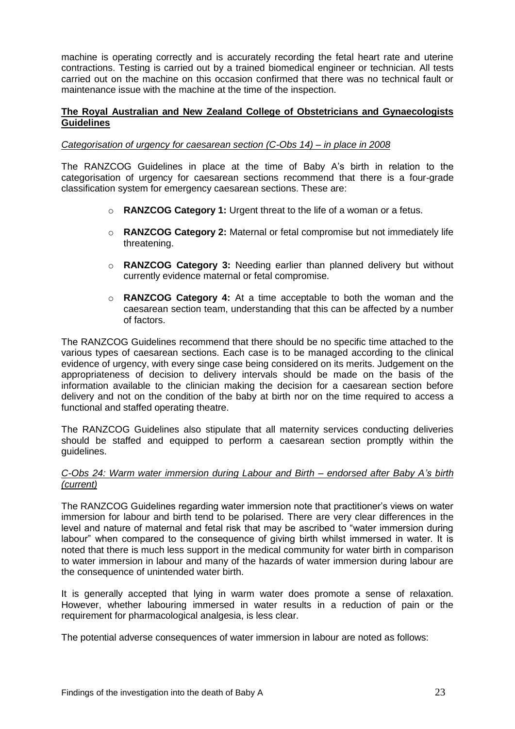machine is operating correctly and is accurately recording the fetal heart rate and uterine contractions. Testing is carried out by a trained biomedical engineer or technician. All tests carried out on the machine on this occasion confirmed that there was no technical fault or maintenance issue with the machine at the time of the inspection.

# **The Royal Australian and New Zealand College of Obstetricians and Gynaecologists Guidelines**

## *Categorisation of urgency for caesarean section (C-Obs 14) – in place in 2008*

The RANZCOG Guidelines in place at the time of Baby A's birth in relation to the categorisation of urgency for caesarean sections recommend that there is a four-grade classification system for emergency caesarean sections. These are:

- o **RANZCOG Category 1:** Urgent threat to the life of a woman or a fetus.
- o **RANZCOG Category 2:** Maternal or fetal compromise but not immediately life threatening.
- o **RANZCOG Category 3:** Needing earlier than planned delivery but without currently evidence maternal or fetal compromise.
- o **RANZCOG Category 4:** At a time acceptable to both the woman and the caesarean section team, understanding that this can be affected by a number of factors.

The RANZCOG Guidelines recommend that there should be no specific time attached to the various types of caesarean sections. Each case is to be managed according to the clinical evidence of urgency, with every singe case being considered on its merits. Judgement on the appropriateness of decision to delivery intervals should be made on the basis of the information available to the clinician making the decision for a caesarean section before delivery and not on the condition of the baby at birth nor on the time required to access a functional and staffed operating theatre.

The RANZCOG Guidelines also stipulate that all maternity services conducting deliveries should be staffed and equipped to perform a caesarean section promptly within the guidelines.

## *C-Obs 24: Warm water immersion during Labour and Birth – endorsed after Baby A's birth (current)*

The RANZCOG Guidelines regarding water immersion note that practitioner's views on water immersion for labour and birth tend to be polarised. There are very clear differences in the level and nature of maternal and fetal risk that may be ascribed to "water immersion during labour" when compared to the consequence of giving birth whilst immersed in water. It is noted that there is much less support in the medical community for water birth in comparison to water immersion in labour and many of the hazards of water immersion during labour are the consequence of unintended water birth.

It is generally accepted that lying in warm water does promote a sense of relaxation. However, whether labouring immersed in water results in a reduction of pain or the requirement for pharmacological analgesia, is less clear.

The potential adverse consequences of water immersion in labour are noted as follows: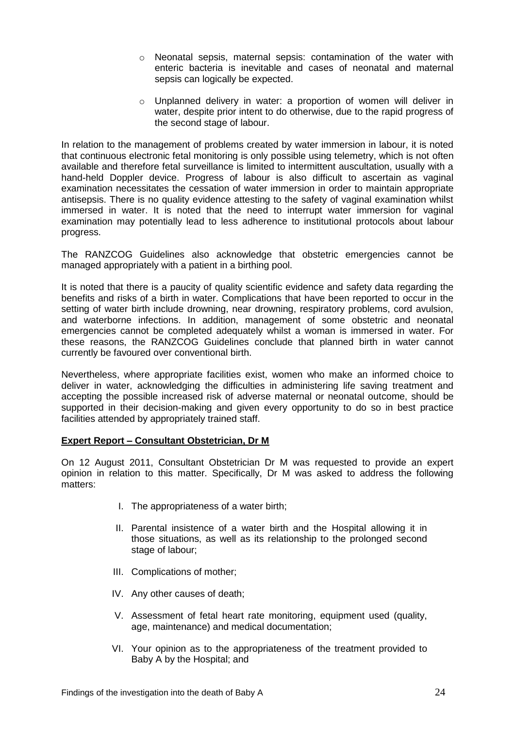- o Neonatal sepsis, maternal sepsis: contamination of the water with enteric bacteria is inevitable and cases of neonatal and maternal sepsis can logically be expected.
- o Unplanned delivery in water: a proportion of women will deliver in water, despite prior intent to do otherwise, due to the rapid progress of the second stage of labour.

In relation to the management of problems created by water immersion in labour, it is noted that continuous electronic fetal monitoring is only possible using telemetry, which is not often available and therefore fetal surveillance is limited to intermittent auscultation, usually with a hand-held Doppler device. Progress of labour is also difficult to ascertain as vaginal examination necessitates the cessation of water immersion in order to maintain appropriate antisepsis. There is no quality evidence attesting to the safety of vaginal examination whilst immersed in water. It is noted that the need to interrupt water immersion for vaginal examination may potentially lead to less adherence to institutional protocols about labour progress.

The RANZCOG Guidelines also acknowledge that obstetric emergencies cannot be managed appropriately with a patient in a birthing pool.

It is noted that there is a paucity of quality scientific evidence and safety data regarding the benefits and risks of a birth in water. Complications that have been reported to occur in the setting of water birth include drowning, near drowning, respiratory problems, cord avulsion, and waterborne infections. In addition, management of some obstetric and neonatal emergencies cannot be completed adequately whilst a woman is immersed in water. For these reasons, the RANZCOG Guidelines conclude that planned birth in water cannot currently be favoured over conventional birth.

Nevertheless, where appropriate facilities exist, women who make an informed choice to deliver in water, acknowledging the difficulties in administering life saving treatment and accepting the possible increased risk of adverse maternal or neonatal outcome, should be supported in their decision-making and given every opportunity to do so in best practice facilities attended by appropriately trained staff.

# **Expert Report – Consultant Obstetrician, Dr M**

On 12 August 2011, Consultant Obstetrician Dr M was requested to provide an expert opinion in relation to this matter. Specifically, Dr M was asked to address the following matters:

- I. The appropriateness of a water birth;
- II. Parental insistence of a water birth and the Hospital allowing it in those situations, as well as its relationship to the prolonged second stage of labour:
- III. Complications of mother;
- IV. Any other causes of death;
- V. Assessment of fetal heart rate monitoring, equipment used (quality, age, maintenance) and medical documentation;
- VI. Your opinion as to the appropriateness of the treatment provided to Baby A by the Hospital; and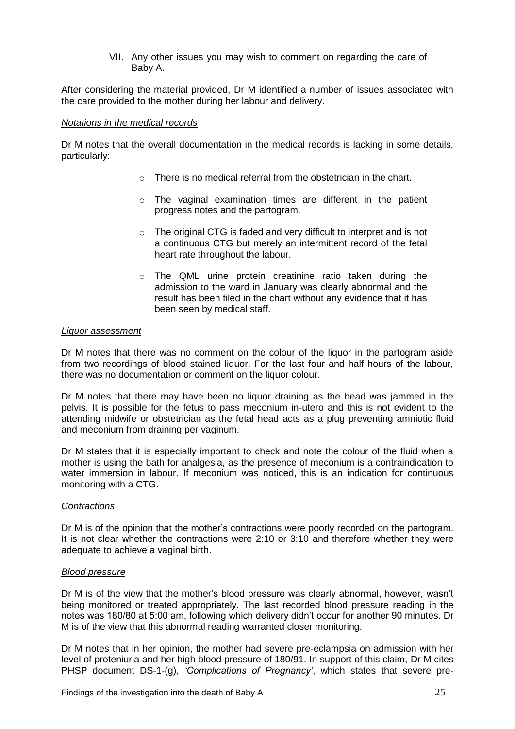VII. Any other issues you may wish to comment on regarding the care of Baby A.

After considering the material provided, Dr M identified a number of issues associated with the care provided to the mother during her labour and delivery.

#### *Notations in the medical records*

Dr M notes that the overall documentation in the medical records is lacking in some details, particularly:

- $\circ$  There is no medical referral from the obstetrician in the chart.
- o The vaginal examination times are different in the patient progress notes and the partogram.
- o The original CTG is faded and very difficult to interpret and is not a continuous CTG but merely an intermittent record of the fetal heart rate throughout the labour.
- o The QML urine protein creatinine ratio taken during the admission to the ward in January was clearly abnormal and the result has been filed in the chart without any evidence that it has been seen by medical staff.

#### *Liquor assessment*

Dr M notes that there was no comment on the colour of the liquor in the partogram aside from two recordings of blood stained liquor. For the last four and half hours of the labour, there was no documentation or comment on the liquor colour.

Dr M notes that there may have been no liquor draining as the head was jammed in the pelvis. It is possible for the fetus to pass meconium in-utero and this is not evident to the attending midwife or obstetrician as the fetal head acts as a plug preventing amniotic fluid and meconium from draining per vaginum.

Dr M states that it is especially important to check and note the colour of the fluid when a mother is using the bath for analgesia, as the presence of meconium is a contraindication to water immersion in labour. If meconium was noticed, this is an indication for continuous monitoring with a CTG.

#### *Contractions*

Dr M is of the opinion that the mother's contractions were poorly recorded on the partogram. It is not clear whether the contractions were 2:10 or 3:10 and therefore whether they were adequate to achieve a vaginal birth.

#### *Blood pressure*

Dr M is of the view that the mother's blood pressure was clearly abnormal, however, wasn't being monitored or treated appropriately. The last recorded blood pressure reading in the notes was 180/80 at 5:00 am, following which delivery didn't occur for another 90 minutes. Dr M is of the view that this abnormal reading warranted closer monitoring.

Dr M notes that in her opinion, the mother had severe pre-eclampsia on admission with her level of proteniuria and her high blood pressure of 180/91. In support of this claim, Dr M cites PHSP document DS-1-(g), *'Complications of Pregnancy'*, which states that severe pre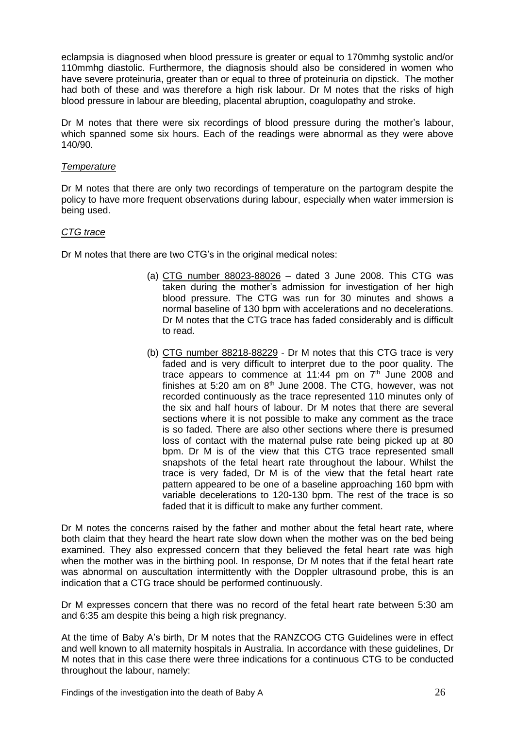eclampsia is diagnosed when blood pressure is greater or equal to 170mmhg systolic and/or 110mmhg diastolic. Furthermore, the diagnosis should also be considered in women who have severe proteinuria, greater than or equal to three of proteinuria on dipstick. The mother had both of these and was therefore a high risk labour. Dr M notes that the risks of high blood pressure in labour are bleeding, placental abruption, coagulopathy and stroke.

Dr M notes that there were six recordings of blood pressure during the mother's labour, which spanned some six hours. Each of the readings were abnormal as they were above 140/90.

# *Temperature*

Dr M notes that there are only two recordings of temperature on the partogram despite the policy to have more frequent observations during labour, especially when water immersion is being used.

## *CTG trace*

Dr M notes that there are two CTG's in the original medical notes:

- (a) CTG number 88023-88026 dated 3 June 2008. This CTG was taken during the mother's admission for investigation of her high blood pressure. The CTG was run for 30 minutes and shows a normal baseline of 130 bpm with accelerations and no decelerations. Dr M notes that the CTG trace has faded considerably and is difficult to read.
- (b) CTG number 88218-88229 Dr M notes that this CTG trace is very faded and is very difficult to interpret due to the poor quality. The trace appears to commence at 11:44 pm on  $7<sup>th</sup>$  June 2008 and finishes at 5:20 am on  $8<sup>th</sup>$  June 2008. The CTG, however, was not recorded continuously as the trace represented 110 minutes only of the six and half hours of labour. Dr M notes that there are several sections where it is not possible to make any comment as the trace is so faded. There are also other sections where there is presumed loss of contact with the maternal pulse rate being picked up at 80 bpm. Dr M is of the view that this CTG trace represented small snapshots of the fetal heart rate throughout the labour. Whilst the trace is very faded, Dr M is of the view that the fetal heart rate pattern appeared to be one of a baseline approaching 160 bpm with variable decelerations to 120-130 bpm. The rest of the trace is so faded that it is difficult to make any further comment.

Dr M notes the concerns raised by the father and mother about the fetal heart rate, where both claim that they heard the heart rate slow down when the mother was on the bed being examined. They also expressed concern that they believed the fetal heart rate was high when the mother was in the birthing pool. In response, Dr M notes that if the fetal heart rate was abnormal on auscultation intermittently with the Doppler ultrasound probe, this is an indication that a CTG trace should be performed continuously.

Dr M expresses concern that there was no record of the fetal heart rate between 5:30 am and 6:35 am despite this being a high risk pregnancy.

At the time of Baby A's birth, Dr M notes that the RANZCOG CTG Guidelines were in effect and well known to all maternity hospitals in Australia. In accordance with these guidelines, Dr M notes that in this case there were three indications for a continuous CTG to be conducted throughout the labour, namely: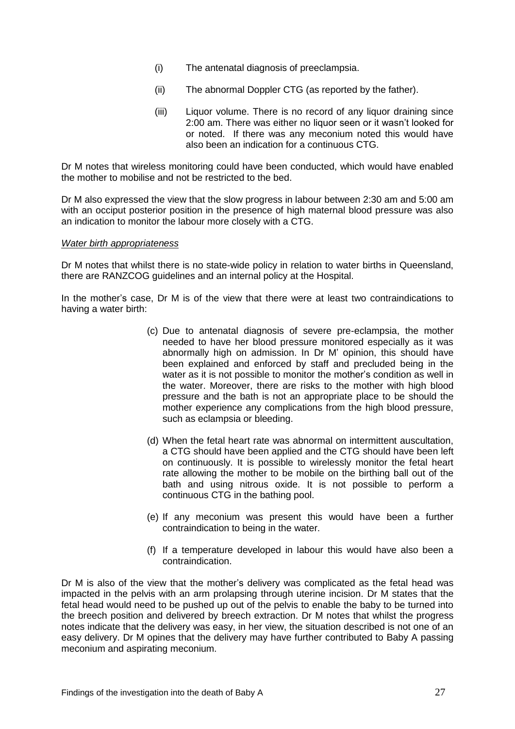- (i) The antenatal diagnosis of preeclampsia.
- (ii) The abnormal Doppler CTG (as reported by the father).
- (iii) Liquor volume. There is no record of any liquor draining since 2:00 am. There was either no liquor seen or it wasn't looked for or noted. If there was any meconium noted this would have also been an indication for a continuous CTG.

Dr M notes that wireless monitoring could have been conducted, which would have enabled the mother to mobilise and not be restricted to the bed.

Dr M also expressed the view that the slow progress in labour between 2:30 am and 5:00 am with an occiput posterior position in the presence of high maternal blood pressure was also an indication to monitor the labour more closely with a CTG.

#### *Water birth appropriateness*

Dr M notes that whilst there is no state-wide policy in relation to water births in Queensland, there are RANZCOG guidelines and an internal policy at the Hospital.

In the mother's case, Dr M is of the view that there were at least two contraindications to having a water birth:

- (c) Due to antenatal diagnosis of severe pre-eclampsia, the mother needed to have her blood pressure monitored especially as it was abnormally high on admission. In Dr M' opinion, this should have been explained and enforced by staff and precluded being in the water as it is not possible to monitor the mother's condition as well in the water. Moreover, there are risks to the mother with high blood pressure and the bath is not an appropriate place to be should the mother experience any complications from the high blood pressure, such as eclampsia or bleeding.
- (d) When the fetal heart rate was abnormal on intermittent auscultation, a CTG should have been applied and the CTG should have been left on continuously. It is possible to wirelessly monitor the fetal heart rate allowing the mother to be mobile on the birthing ball out of the bath and using nitrous oxide. It is not possible to perform a continuous CTG in the bathing pool.
- (e) If any meconium was present this would have been a further contraindication to being in the water.
- (f) If a temperature developed in labour this would have also been a contraindication.

Dr M is also of the view that the mother's delivery was complicated as the fetal head was impacted in the pelvis with an arm prolapsing through uterine incision. Dr M states that the fetal head would need to be pushed up out of the pelvis to enable the baby to be turned into the breech position and delivered by breech extraction. Dr M notes that whilst the progress notes indicate that the delivery was easy, in her view, the situation described is not one of an easy delivery. Dr M opines that the delivery may have further contributed to Baby A passing meconium and aspirating meconium.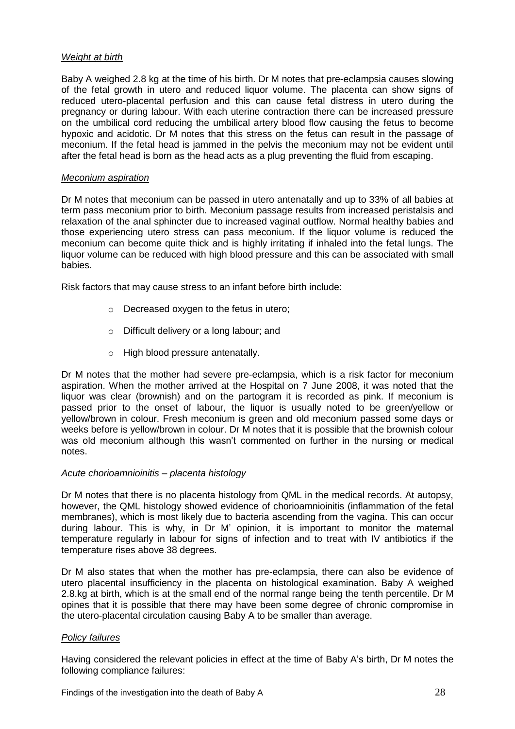# *Weight at birth*

Baby A weighed 2.8 kg at the time of his birth. Dr M notes that pre-eclampsia causes slowing of the fetal growth in utero and reduced liquor volume. The placenta can show signs of reduced utero-placental perfusion and this can cause fetal distress in utero during the pregnancy or during labour. With each uterine contraction there can be increased pressure on the umbilical cord reducing the umbilical artery blood flow causing the fetus to become hypoxic and acidotic. Dr M notes that this stress on the fetus can result in the passage of meconium. If the fetal head is jammed in the pelvis the meconium may not be evident until after the fetal head is born as the head acts as a plug preventing the fluid from escaping.

# *Meconium aspiration*

Dr M notes that meconium can be passed in utero antenatally and up to 33% of all babies at term pass meconium prior to birth. Meconium passage results from increased peristalsis and relaxation of the anal sphincter due to increased vaginal outflow. Normal healthy babies and those experiencing utero stress can pass meconium. If the liquor volume is reduced the meconium can become quite thick and is highly irritating if inhaled into the fetal lungs. The liquor volume can be reduced with high blood pressure and this can be associated with small babies.

Risk factors that may cause stress to an infant before birth include:

- o Decreased oxygen to the fetus in utero;
- o Difficult delivery or a long labour; and
- o High blood pressure antenatally.

Dr M notes that the mother had severe pre-eclampsia, which is a risk factor for meconium aspiration. When the mother arrived at the Hospital on 7 June 2008, it was noted that the liquor was clear (brownish) and on the partogram it is recorded as pink. If meconium is passed prior to the onset of labour, the liquor is usually noted to be green/yellow or yellow/brown in colour. Fresh meconium is green and old meconium passed some days or weeks before is yellow/brown in colour. Dr M notes that it is possible that the brownish colour was old meconium although this wasn't commented on further in the nursing or medical notes.

# *Acute chorioamnioinitis – placenta histology*

Dr M notes that there is no placenta histology from QML in the medical records. At autopsy, however, the QML histology showed evidence of chorioamnioinitis (inflammation of the fetal membranes), which is most likely due to bacteria ascending from the vagina. This can occur during labour. This is why, in Dr M' opinion, it is important to monitor the maternal temperature regularly in labour for signs of infection and to treat with IV antibiotics if the temperature rises above 38 degrees.

Dr M also states that when the mother has pre-eclampsia, there can also be evidence of utero placental insufficiency in the placenta on histological examination. Baby A weighed 2.8.kg at birth, which is at the small end of the normal range being the tenth percentile. Dr M opines that it is possible that there may have been some degree of chronic compromise in the utero-placental circulation causing Baby A to be smaller than average.

# *Policy failures*

Having considered the relevant policies in effect at the time of Baby A's birth, Dr M notes the following compliance failures: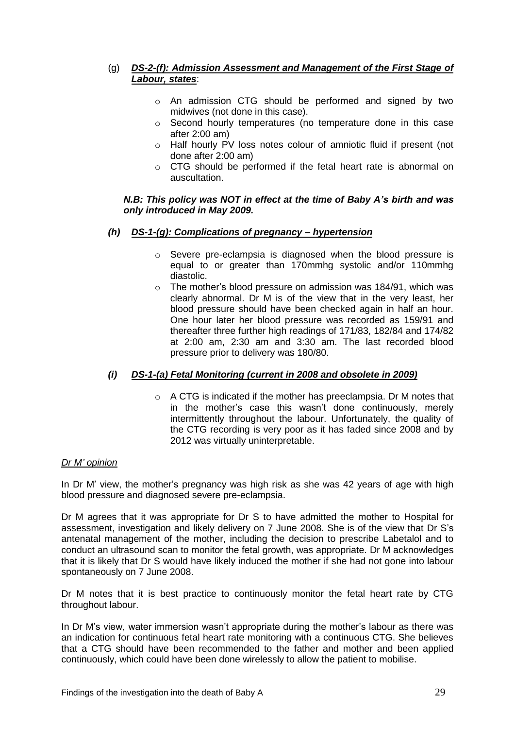# (g) *DS-2-(f): Admission Assessment and Management of the First Stage of Labour, states*:

- o An admission CTG should be performed and signed by two midwives (not done in this case).
- o Second hourly temperatures (no temperature done in this case after 2:00 am)
- o Half hourly PV loss notes colour of amniotic fluid if present (not done after 2:00 am)
- o CTG should be performed if the fetal heart rate is abnormal on auscultation.

# *N.B: This policy was NOT in effect at the time of Baby A's birth and was only introduced in May 2009.*

- *(h) DS-1-(g): Complications of pregnancy – hypertension*
	- o Severe pre-eclampsia is diagnosed when the blood pressure is equal to or greater than 170mmhg systolic and/or 110mmhg diastolic.
	- o The mother's blood pressure on admission was 184/91, which was clearly abnormal. Dr M is of the view that in the very least, her blood pressure should have been checked again in half an hour. One hour later her blood pressure was recorded as 159/91 and thereafter three further high readings of 171/83, 182/84 and 174/82 at 2:00 am, 2:30 am and 3:30 am. The last recorded blood pressure prior to delivery was 180/80.

# *(i) DS-1-(a) Fetal Monitoring (current in 2008 and obsolete in 2009)*

 $\circ$  A CTG is indicated if the mother has preeclampsia. Dr M notes that in the mother's case this wasn't done continuously, merely intermittently throughout the labour. Unfortunately, the quality of the CTG recording is very poor as it has faded since 2008 and by 2012 was virtually uninterpretable.

# *Dr M' opinion*

In Dr M' view, the mother's pregnancy was high risk as she was 42 years of age with high blood pressure and diagnosed severe pre-eclampsia.

Dr M agrees that it was appropriate for Dr S to have admitted the mother to Hospital for assessment, investigation and likely delivery on 7 June 2008. She is of the view that Dr S's antenatal management of the mother, including the decision to prescribe Labetalol and to conduct an ultrasound scan to monitor the fetal growth, was appropriate. Dr M acknowledges that it is likely that Dr S would have likely induced the mother if she had not gone into labour spontaneously on 7 June 2008.

Dr M notes that it is best practice to continuously monitor the fetal heart rate by CTG throughout labour.

In Dr M's view, water immersion wasn't appropriate during the mother's labour as there was an indication for continuous fetal heart rate monitoring with a continuous CTG. She believes that a CTG should have been recommended to the father and mother and been applied continuously, which could have been done wirelessly to allow the patient to mobilise.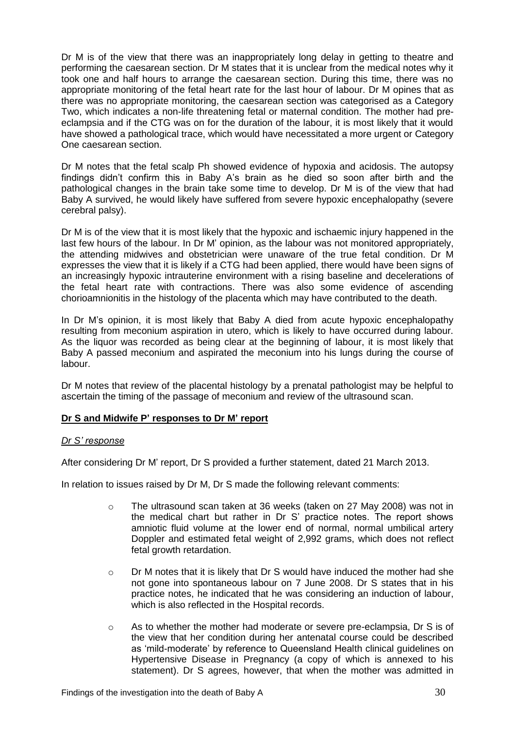Dr M is of the view that there was an inappropriately long delay in getting to theatre and performing the caesarean section. Dr M states that it is unclear from the medical notes why it took one and half hours to arrange the caesarean section. During this time, there was no appropriate monitoring of the fetal heart rate for the last hour of labour. Dr M opines that as there was no appropriate monitoring, the caesarean section was categorised as a Category Two, which indicates a non-life threatening fetal or maternal condition. The mother had preeclampsia and if the CTG was on for the duration of the labour, it is most likely that it would have showed a pathological trace, which would have necessitated a more urgent or Category One caesarean section.

Dr M notes that the fetal scalp Ph showed evidence of hypoxia and acidosis. The autopsy findings didn't confirm this in Baby A's brain as he died so soon after birth and the pathological changes in the brain take some time to develop. Dr M is of the view that had Baby A survived, he would likely have suffered from severe hypoxic encephalopathy (severe cerebral palsy).

Dr M is of the view that it is most likely that the hypoxic and ischaemic injury happened in the last few hours of the labour. In Dr M' opinion, as the labour was not monitored appropriately, the attending midwives and obstetrician were unaware of the true fetal condition. Dr M expresses the view that it is likely if a CTG had been applied, there would have been signs of an increasingly hypoxic intrauterine environment with a rising baseline and decelerations of the fetal heart rate with contractions. There was also some evidence of ascending chorioamnionitis in the histology of the placenta which may have contributed to the death.

In Dr M's opinion, it is most likely that Baby A died from acute hypoxic encephalopathy resulting from meconium aspiration in utero, which is likely to have occurred during labour. As the liquor was recorded as being clear at the beginning of labour, it is most likely that Baby A passed meconium and aspirated the meconium into his lungs during the course of labour.

Dr M notes that review of the placental histology by a prenatal pathologist may be helpful to ascertain the timing of the passage of meconium and review of the ultrasound scan.

# **Dr S and Midwife P' responses to Dr M' report**

# *Dr S' response*

After considering Dr M' report, Dr S provided a further statement, dated 21 March 2013.

In relation to issues raised by Dr M, Dr S made the following relevant comments:

- o The ultrasound scan taken at 36 weeks (taken on 27 May 2008) was not in the medical chart but rather in Dr S' practice notes. The report shows amniotic fluid volume at the lower end of normal, normal umbilical artery Doppler and estimated fetal weight of 2,992 grams, which does not reflect fetal growth retardation.
- $\circ$  Dr M notes that it is likely that Dr S would have induced the mother had she not gone into spontaneous labour on 7 June 2008. Dr S states that in his practice notes, he indicated that he was considering an induction of labour, which is also reflected in the Hospital records.
- $\circ$  As to whether the mother had moderate or severe pre-eclampsia. Dr S is of the view that her condition during her antenatal course could be described as 'mild-moderate' by reference to Queensland Health clinical guidelines on Hypertensive Disease in Pregnancy (a copy of which is annexed to his statement). Dr S agrees, however, that when the mother was admitted in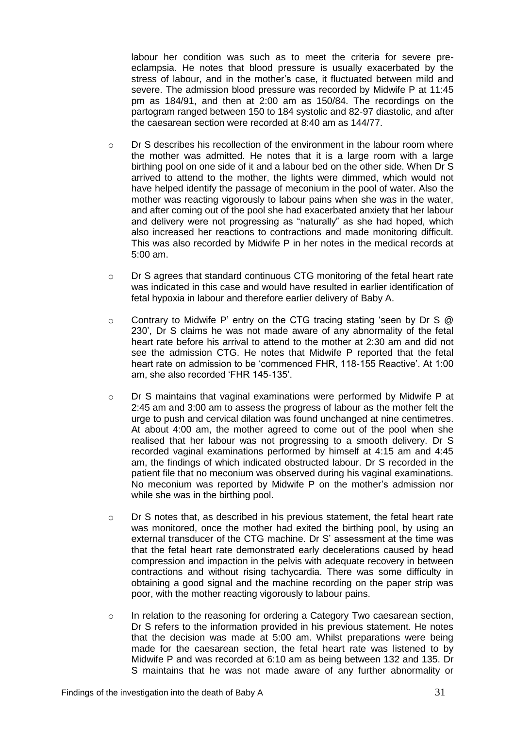labour her condition was such as to meet the criteria for severe preeclampsia. He notes that blood pressure is usually exacerbated by the stress of labour, and in the mother's case, it fluctuated between mild and severe. The admission blood pressure was recorded by Midwife P at 11:45 pm as 184/91, and then at 2:00 am as 150/84. The recordings on the partogram ranged between 150 to 184 systolic and 82-97 diastolic, and after the caesarean section were recorded at 8:40 am as 144/77.

- $\circ$  Dr S describes his recollection of the environment in the labour room where the mother was admitted. He notes that it is a large room with a large birthing pool on one side of it and a labour bed on the other side. When Dr S arrived to attend to the mother, the lights were dimmed, which would not have helped identify the passage of meconium in the pool of water. Also the mother was reacting vigorously to labour pains when she was in the water, and after coming out of the pool she had exacerbated anxiety that her labour and delivery were not progressing as "naturally" as she had hoped, which also increased her reactions to contractions and made monitoring difficult. This was also recorded by Midwife P in her notes in the medical records at 5:00 am.
- o Dr S agrees that standard continuous CTG monitoring of the fetal heart rate was indicated in this case and would have resulted in earlier identification of fetal hypoxia in labour and therefore earlier delivery of Baby A.
- $\circ$  Contrary to Midwife P' entry on the CTG tracing stating 'seen by Dr S  $\circledR$ 230', Dr S claims he was not made aware of any abnormality of the fetal heart rate before his arrival to attend to the mother at 2:30 am and did not see the admission CTG. He notes that Midwife P reported that the fetal heart rate on admission to be 'commenced FHR, 118-155 Reactive'. At 1:00 am, she also recorded 'FHR 145-135'.
- o Dr S maintains that vaginal examinations were performed by Midwife P at 2:45 am and 3:00 am to assess the progress of labour as the mother felt the urge to push and cervical dilation was found unchanged at nine centimetres. At about 4:00 am, the mother agreed to come out of the pool when she realised that her labour was not progressing to a smooth delivery. Dr S recorded vaginal examinations performed by himself at 4:15 am and 4:45 am, the findings of which indicated obstructed labour. Dr S recorded in the patient file that no meconium was observed during his vaginal examinations. No meconium was reported by Midwife P on the mother's admission nor while she was in the birthing pool.
- $\circ$  Dr S notes that, as described in his previous statement, the fetal heart rate was monitored, once the mother had exited the birthing pool, by using an external transducer of the CTG machine. Dr S' assessment at the time was that the fetal heart rate demonstrated early decelerations caused by head compression and impaction in the pelvis with adequate recovery in between contractions and without rising tachycardia. There was some difficulty in obtaining a good signal and the machine recording on the paper strip was poor, with the mother reacting vigorously to labour pains.
- $\circ$  In relation to the reasoning for ordering a Category Two caesarean section, Dr S refers to the information provided in his previous statement. He notes that the decision was made at 5:00 am. Whilst preparations were being made for the caesarean section, the fetal heart rate was listened to by Midwife P and was recorded at 6:10 am as being between 132 and 135. Dr S maintains that he was not made aware of any further abnormality or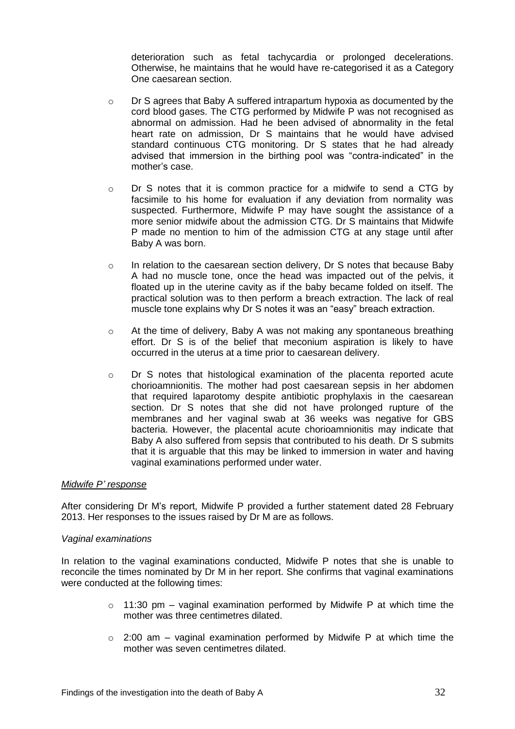deterioration such as fetal tachycardia or prolonged decelerations. Otherwise, he maintains that he would have re-categorised it as a Category One caesarean section.

- o Dr S agrees that Baby A suffered intrapartum hypoxia as documented by the cord blood gases. The CTG performed by Midwife P was not recognised as abnormal on admission. Had he been advised of abnormality in the fetal heart rate on admission, Dr S maintains that he would have advised standard continuous CTG monitoring. Dr S states that he had already advised that immersion in the birthing pool was "contra-indicated" in the mother's case.
- o Dr S notes that it is common practice for a midwife to send a CTG by facsimile to his home for evaluation if any deviation from normality was suspected. Furthermore, Midwife P may have sought the assistance of a more senior midwife about the admission CTG. Dr S maintains that Midwife P made no mention to him of the admission CTG at any stage until after Baby A was born.
- o In relation to the caesarean section delivery, Dr S notes that because Baby A had no muscle tone, once the head was impacted out of the pelvis, it floated up in the uterine cavity as if the baby became folded on itself. The practical solution was to then perform a breach extraction. The lack of real muscle tone explains why Dr S notes it was an "easy" breach extraction.
- o At the time of delivery, Baby A was not making any spontaneous breathing effort. Dr S is of the belief that meconium aspiration is likely to have occurred in the uterus at a time prior to caesarean delivery.
- o Dr S notes that histological examination of the placenta reported acute chorioamnionitis. The mother had post caesarean sepsis in her abdomen that required laparotomy despite antibiotic prophylaxis in the caesarean section. Dr S notes that she did not have prolonged rupture of the membranes and her vaginal swab at 36 weeks was negative for GBS bacteria. However, the placental acute chorioamnionitis may indicate that Baby A also suffered from sepsis that contributed to his death. Dr S submits that it is arguable that this may be linked to immersion in water and having vaginal examinations performed under water.

#### *Midwife P' response*

After considering Dr M's report, Midwife P provided a further statement dated 28 February 2013. Her responses to the issues raised by Dr M are as follows.

#### *Vaginal examinations*

In relation to the vaginal examinations conducted, Midwife P notes that she is unable to reconcile the times nominated by Dr M in her report. She confirms that vaginal examinations were conducted at the following times:

- $\circ$  11:30 pm vaginal examination performed by Midwife P at which time the mother was three centimetres dilated.
- $\circ$  2:00 am vaginal examination performed by Midwife P at which time the mother was seven centimetres dilated.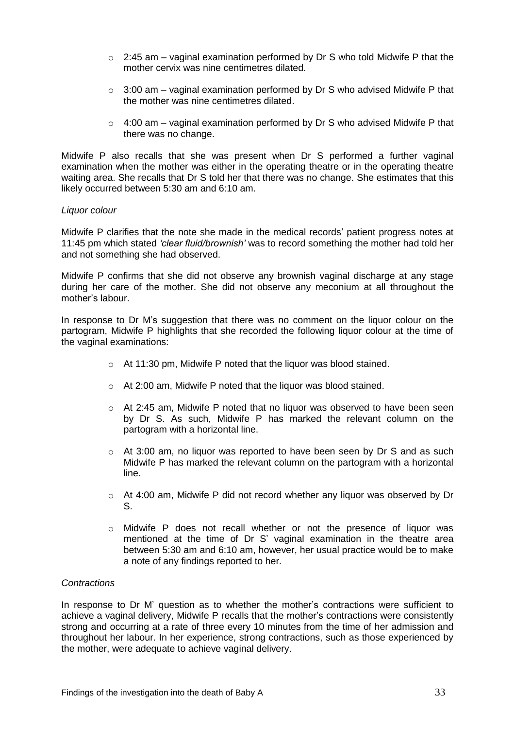- $\degree$  2:45 am vaginal examination performed by Dr S who told Midwife P that the mother cervix was nine centimetres dilated.
- $\circ$  3:00 am vaginal examination performed by Dr S who advised Midwife P that the mother was nine centimetres dilated.
- $\circ$  4:00 am vaginal examination performed by Dr S who advised Midwife P that there was no change.

Midwife P also recalls that she was present when Dr S performed a further vaginal examination when the mother was either in the operating theatre or in the operating theatre waiting area. She recalls that Dr S told her that there was no change. She estimates that this likely occurred between 5:30 am and 6:10 am.

#### *Liquor colour*

Midwife P clarifies that the note she made in the medical records' patient progress notes at 11:45 pm which stated *'clear fluid/brownish'* was to record something the mother had told her and not something she had observed.

Midwife P confirms that she did not observe any brownish vaginal discharge at any stage during her care of the mother. She did not observe any meconium at all throughout the mother's labour.

In response to Dr M's suggestion that there was no comment on the liquor colour on the partogram, Midwife P highlights that she recorded the following liquor colour at the time of the vaginal examinations:

- o At 11:30 pm, Midwife P noted that the liquor was blood stained.
- o At 2:00 am, Midwife P noted that the liquor was blood stained.
- $\circ$  At 2:45 am, Midwife P noted that no liquor was observed to have been seen by Dr S. As such, Midwife P has marked the relevant column on the partogram with a horizontal line.
- $\circ$  At 3:00 am, no liquor was reported to have been seen by Dr S and as such Midwife P has marked the relevant column on the partogram with a horizontal line.
- $\circ$  At 4:00 am, Midwife P did not record whether any liquor was observed by Dr S.
- o Midwife P does not recall whether or not the presence of liquor was mentioned at the time of Dr S' vaginal examination in the theatre area between 5:30 am and 6:10 am, however, her usual practice would be to make a note of any findings reported to her.

#### *Contractions*

In response to Dr M' question as to whether the mother's contractions were sufficient to achieve a vaginal delivery, Midwife P recalls that the mother's contractions were consistently strong and occurring at a rate of three every 10 minutes from the time of her admission and throughout her labour. In her experience, strong contractions, such as those experienced by the mother, were adequate to achieve vaginal delivery.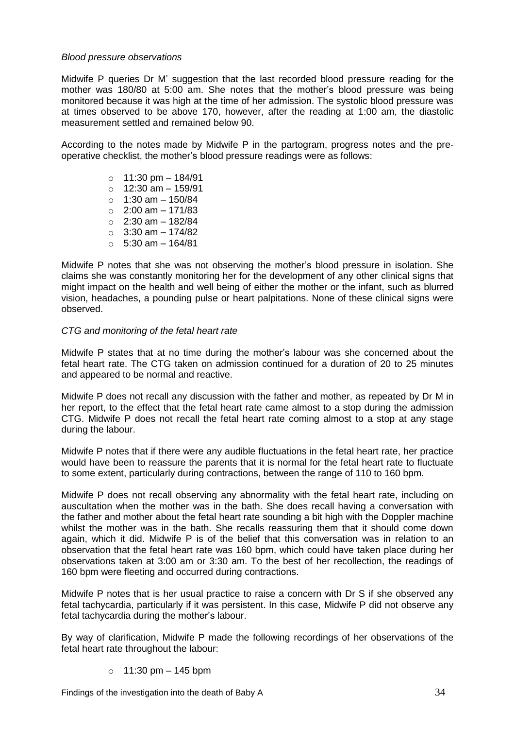## *Blood pressure observations*

Midwife P queries Dr M' suggestion that the last recorded blood pressure reading for the mother was 180/80 at 5:00 am. She notes that the mother's blood pressure was being monitored because it was high at the time of her admission. The systolic blood pressure was at times observed to be above 170, however, after the reading at 1:00 am, the diastolic measurement settled and remained below 90.

According to the notes made by Midwife P in the partogram, progress notes and the preoperative checklist, the mother's blood pressure readings were as follows:

> $\circ$  11:30 pm – 184/91  $\circ$  12:30 am - 159/91  $\circ$  1:30 am – 150/84  $\circ$  2:00 am – 171/83  $\circ$  2:30 am – 182/84  $\circ$  3:30 am - 174/82  $\circ$  5:30 am – 164/81

Midwife P notes that she was not observing the mother's blood pressure in isolation. She claims she was constantly monitoring her for the development of any other clinical signs that might impact on the health and well being of either the mother or the infant, such as blurred vision, headaches, a pounding pulse or heart palpitations. None of these clinical signs were observed.

## *CTG and monitoring of the fetal heart rate*

Midwife P states that at no time during the mother's labour was she concerned about the fetal heart rate. The CTG taken on admission continued for a duration of 20 to 25 minutes and appeared to be normal and reactive.

Midwife P does not recall any discussion with the father and mother, as repeated by Dr M in her report, to the effect that the fetal heart rate came almost to a stop during the admission CTG. Midwife P does not recall the fetal heart rate coming almost to a stop at any stage during the labour.

Midwife P notes that if there were any audible fluctuations in the fetal heart rate, her practice would have been to reassure the parents that it is normal for the fetal heart rate to fluctuate to some extent, particularly during contractions, between the range of 110 to 160 bpm.

Midwife P does not recall observing any abnormality with the fetal heart rate, including on auscultation when the mother was in the bath. She does recall having a conversation with the father and mother about the fetal heart rate sounding a bit high with the Doppler machine whilst the mother was in the bath. She recalls reassuring them that it should come down again, which it did. Midwife P is of the belief that this conversation was in relation to an observation that the fetal heart rate was 160 bpm, which could have taken place during her observations taken at 3:00 am or 3:30 am. To the best of her recollection, the readings of 160 bpm were fleeting and occurred during contractions.

Midwife P notes that is her usual practice to raise a concern with Dr S if she observed any fetal tachycardia, particularly if it was persistent. In this case, Midwife P did not observe any fetal tachycardia during the mother's labour.

By way of clarification, Midwife P made the following recordings of her observations of the fetal heart rate throughout the labour:

 $\circ$  11:30 pm – 145 bpm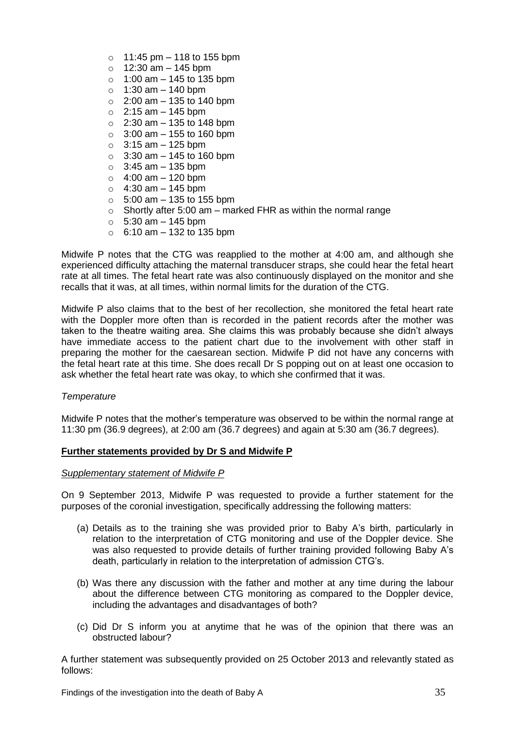- $\circ$  11:45 pm 118 to 155 bpm
- $\circ$  12:30 am 145 bpm
- $\circ$  1:00 am 145 to 135 bpm
- $\circ$  1:30 am 140 bpm
- $\circ$  2:00 am 135 to 140 bpm
- $\circ$  2:15 am 145 bpm
- $\circ$  2:30 am 135 to 148 bpm
- $\circ$  3:00 am 155 to 160 bpm
- $\circ$  3:15 am 125 bpm
- $\circ$  3:30 am 145 to 160 bpm
- $\circ$  3:45 am 135 bpm
- $\circ$  4:00 am 120 bpm
- $\circ$  4:30 am 145 bpm
- $\circ$  5:00 am 135 to 155 bpm
- $\circ$  Shortly after 5:00 am marked FHR as within the normal range
- $\circ$  5:30 am 145 bpm
- $\circ$  6:10 am 132 to 135 bpm

Midwife P notes that the CTG was reapplied to the mother at 4:00 am, and although she experienced difficulty attaching the maternal transducer straps, she could hear the fetal heart rate at all times. The fetal heart rate was also continuously displayed on the monitor and she recalls that it was, at all times, within normal limits for the duration of the CTG.

Midwife P also claims that to the best of her recollection, she monitored the fetal heart rate with the Doppler more often than is recorded in the patient records after the mother was taken to the theatre waiting area. She claims this was probably because she didn't always have immediate access to the patient chart due to the involvement with other staff in preparing the mother for the caesarean section. Midwife P did not have any concerns with the fetal heart rate at this time. She does recall Dr S popping out on at least one occasion to ask whether the fetal heart rate was okay, to which she confirmed that it was.

# *Temperature*

Midwife P notes that the mother's temperature was observed to be within the normal range at 11:30 pm (36.9 degrees), at 2:00 am (36.7 degrees) and again at 5:30 am (36.7 degrees).

# **Further statements provided by Dr S and Midwife P**

#### *Supplementary statement of Midwife P*

On 9 September 2013, Midwife P was requested to provide a further statement for the purposes of the coronial investigation, specifically addressing the following matters:

- (a) Details as to the training she was provided prior to Baby A's birth, particularly in relation to the interpretation of CTG monitoring and use of the Doppler device. She was also requested to provide details of further training provided following Baby A's death, particularly in relation to the interpretation of admission CTG's.
- (b) Was there any discussion with the father and mother at any time during the labour about the difference between CTG monitoring as compared to the Doppler device, including the advantages and disadvantages of both?
- (c) Did Dr S inform you at anytime that he was of the opinion that there was an obstructed labour?

A further statement was subsequently provided on 25 October 2013 and relevantly stated as follows: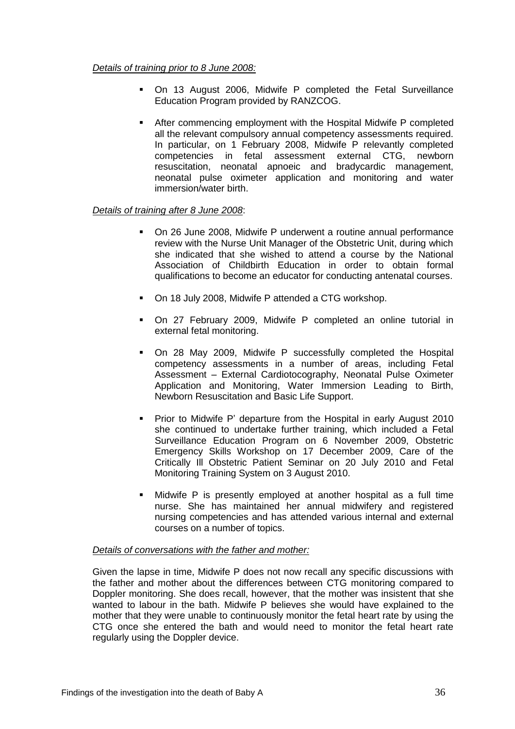## *Details of training prior to 8 June 2008:*

- On 13 August 2006, Midwife P completed the Fetal Surveillance Education Program provided by RANZCOG.
- After commencing employment with the Hospital Midwife P completed all the relevant compulsory annual competency assessments required. In particular, on 1 February 2008, Midwife P relevantly completed competencies in fetal assessment external CTG, newborn resuscitation, neonatal apnoeic and bradycardic management, neonatal pulse oximeter application and monitoring and water immersion/water birth.

# *Details of training after 8 June 2008*:

- On 26 June 2008, Midwife P underwent a routine annual performance review with the Nurse Unit Manager of the Obstetric Unit, during which she indicated that she wished to attend a course by the National Association of Childbirth Education in order to obtain formal qualifications to become an educator for conducting antenatal courses.
- On 18 July 2008, Midwife P attended a CTG workshop.
- On 27 February 2009, Midwife P completed an online tutorial in external fetal monitoring.
- On 28 May 2009, Midwife P successfully completed the Hospital competency assessments in a number of areas, including Fetal Assessment – External Cardiotocography, Neonatal Pulse Oximeter Application and Monitoring, Water Immersion Leading to Birth, Newborn Resuscitation and Basic Life Support.
- **Prior to Midwife P' departure from the Hospital in early August 2010** she continued to undertake further training, which included a Fetal Surveillance Education Program on 6 November 2009, Obstetric Emergency Skills Workshop on 17 December 2009, Care of the Critically Ill Obstetric Patient Seminar on 20 July 2010 and Fetal Monitoring Training System on 3 August 2010.
- Midwife P is presently employed at another hospital as a full time nurse. She has maintained her annual midwifery and registered nursing competencies and has attended various internal and external courses on a number of topics.

#### *Details of conversations with the father and mother:*

Given the lapse in time, Midwife P does not now recall any specific discussions with the father and mother about the differences between CTG monitoring compared to Doppler monitoring. She does recall, however, that the mother was insistent that she wanted to labour in the bath. Midwife P believes she would have explained to the mother that they were unable to continuously monitor the fetal heart rate by using the CTG once she entered the bath and would need to monitor the fetal heart rate regularly using the Doppler device.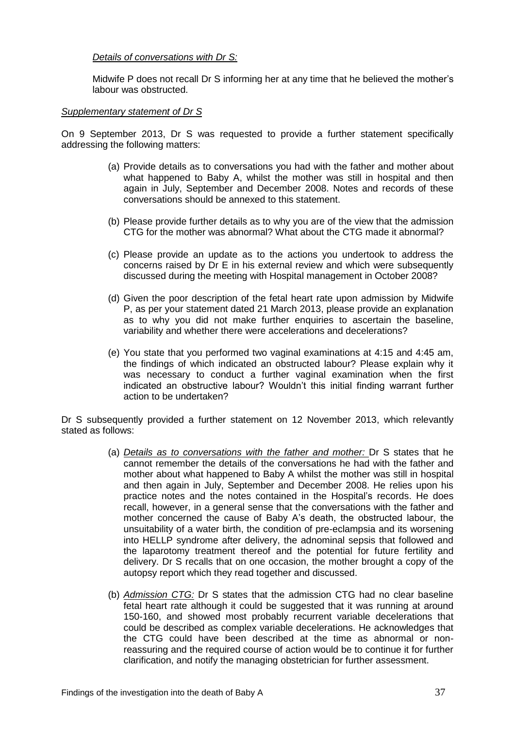# *Details of conversations with Dr S:*

Midwife P does not recall Dr S informing her at any time that he believed the mother's labour was obstructed.

## *Supplementary statement of Dr S*

On 9 September 2013, Dr S was requested to provide a further statement specifically addressing the following matters:

- (a) Provide details as to conversations you had with the father and mother about what happened to Baby A, whilst the mother was still in hospital and then again in July, September and December 2008. Notes and records of these conversations should be annexed to this statement.
- (b) Please provide further details as to why you are of the view that the admission CTG for the mother was abnormal? What about the CTG made it abnormal?
- (c) Please provide an update as to the actions you undertook to address the concerns raised by Dr E in his external review and which were subsequently discussed during the meeting with Hospital management in October 2008?
- (d) Given the poor description of the fetal heart rate upon admission by Midwife P, as per your statement dated 21 March 2013, please provide an explanation as to why you did not make further enquiries to ascertain the baseline, variability and whether there were accelerations and decelerations?
- (e) You state that you performed two vaginal examinations at 4:15 and 4:45 am, the findings of which indicated an obstructed labour? Please explain why it was necessary to conduct a further vaginal examination when the first indicated an obstructive labour? Wouldn't this initial finding warrant further action to be undertaken?

Dr S subsequently provided a further statement on 12 November 2013, which relevantly stated as follows:

- (a) *Details as to conversations with the father and mother:* Dr S states that he cannot remember the details of the conversations he had with the father and mother about what happened to Baby A whilst the mother was still in hospital and then again in July, September and December 2008. He relies upon his practice notes and the notes contained in the Hospital's records. He does recall, however, in a general sense that the conversations with the father and mother concerned the cause of Baby A's death, the obstructed labour, the unsuitability of a water birth, the condition of pre-eclampsia and its worsening into HELLP syndrome after delivery, the adnominal sepsis that followed and the laparotomy treatment thereof and the potential for future fertility and delivery. Dr S recalls that on one occasion, the mother brought a copy of the autopsy report which they read together and discussed.
- (b) *Admission CTG:* Dr S states that the admission CTG had no clear baseline fetal heart rate although it could be suggested that it was running at around 150-160, and showed most probably recurrent variable decelerations that could be described as complex variable decelerations. He acknowledges that the CTG could have been described at the time as abnormal or nonreassuring and the required course of action would be to continue it for further clarification, and notify the managing obstetrician for further assessment.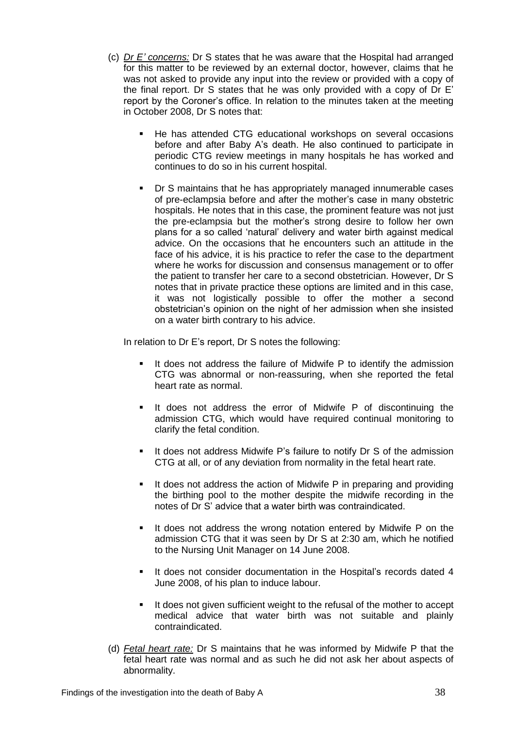- (c) *Dr E' concerns:* Dr S states that he was aware that the Hospital had arranged for this matter to be reviewed by an external doctor, however, claims that he was not asked to provide any input into the review or provided with a copy of the final report. Dr S states that he was only provided with a copy of Dr E' report by the Coroner's office. In relation to the minutes taken at the meeting in October 2008, Dr S notes that:
	- He has attended CTG educational workshops on several occasions before and after Baby A's death. He also continued to participate in periodic CTG review meetings in many hospitals he has worked and continues to do so in his current hospital.
	- **•** Dr S maintains that he has appropriately managed innumerable cases of pre-eclampsia before and after the mother's case in many obstetric hospitals. He notes that in this case, the prominent feature was not just the pre-eclampsia but the mother's strong desire to follow her own plans for a so called 'natural' delivery and water birth against medical advice. On the occasions that he encounters such an attitude in the face of his advice, it is his practice to refer the case to the department where he works for discussion and consensus management or to offer the patient to transfer her care to a second obstetrician. However, Dr S notes that in private practice these options are limited and in this case, it was not logistically possible to offer the mother a second obstetrician's opinion on the night of her admission when she insisted on a water birth contrary to his advice.

In relation to Dr E's report, Dr S notes the following:

- It does not address the failure of Midwife P to identify the admission CTG was abnormal or non-reassuring, when she reported the fetal heart rate as normal.
- It does not address the error of Midwife P of discontinuing the admission CTG, which would have required continual monitoring to clarify the fetal condition.
- If does not address Midwife P's failure to notify Dr S of the admission CTG at all, or of any deviation from normality in the fetal heart rate.
- It does not address the action of Midwife P in preparing and providing the birthing pool to the mother despite the midwife recording in the notes of Dr S' advice that a water birth was contraindicated.
- **If does not address the wrong notation entered by Midwife P on the** admission CTG that it was seen by Dr S at 2:30 am, which he notified to the Nursing Unit Manager on 14 June 2008.
- **If does not consider documentation in the Hospital's records dated 4** June 2008, of his plan to induce labour.
- It does not given sufficient weight to the refusal of the mother to accept medical advice that water birth was not suitable and plainly contraindicated.
- (d) *Fetal heart rate:* Dr S maintains that he was informed by Midwife P that the fetal heart rate was normal and as such he did not ask her about aspects of abnormality.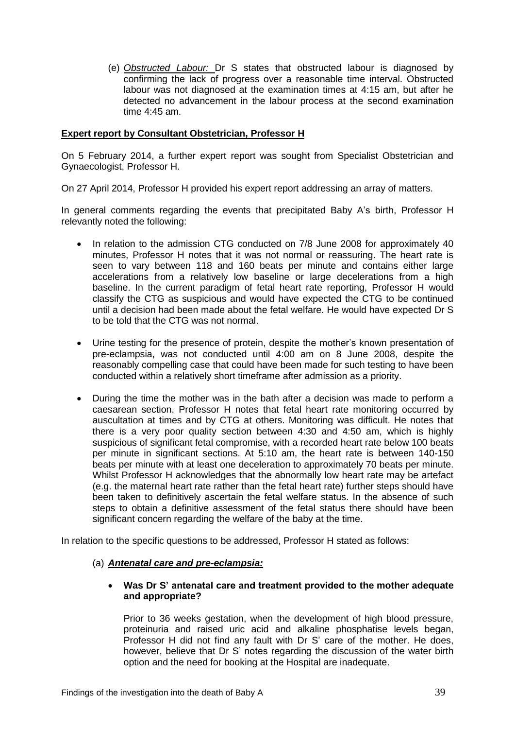(e) *Obstructed Labour:* Dr S states that obstructed labour is diagnosed by confirming the lack of progress over a reasonable time interval. Obstructed labour was not diagnosed at the examination times at 4:15 am, but after he detected no advancement in the labour process at the second examination time 4:45 am.

## **Expert report by Consultant Obstetrician, Professor H**

On 5 February 2014, a further expert report was sought from Specialist Obstetrician and Gynaecologist, Professor H.

On 27 April 2014, Professor H provided his expert report addressing an array of matters.

In general comments regarding the events that precipitated Baby A's birth, Professor H relevantly noted the following:

- In relation to the admission CTG conducted on 7/8 June 2008 for approximately 40 minutes, Professor H notes that it was not normal or reassuring. The heart rate is seen to vary between 118 and 160 beats per minute and contains either large accelerations from a relatively low baseline or large decelerations from a high baseline. In the current paradigm of fetal heart rate reporting, Professor H would classify the CTG as suspicious and would have expected the CTG to be continued until a decision had been made about the fetal welfare. He would have expected Dr S to be told that the CTG was not normal.
- Urine testing for the presence of protein, despite the mother's known presentation of pre-eclampsia, was not conducted until 4:00 am on 8 June 2008, despite the reasonably compelling case that could have been made for such testing to have been conducted within a relatively short timeframe after admission as a priority.
- During the time the mother was in the bath after a decision was made to perform a caesarean section, Professor H notes that fetal heart rate monitoring occurred by auscultation at times and by CTG at others. Monitoring was difficult. He notes that there is a very poor quality section between 4:30 and 4:50 am, which is highly suspicious of significant fetal compromise, with a recorded heart rate below 100 beats per minute in significant sections. At 5:10 am, the heart rate is between 140-150 beats per minute with at least one deceleration to approximately 70 beats per minute. Whilst Professor H acknowledges that the abnormally low heart rate may be artefact (e.g. the maternal heart rate rather than the fetal heart rate) further steps should have been taken to definitively ascertain the fetal welfare status. In the absence of such steps to obtain a definitive assessment of the fetal status there should have been significant concern regarding the welfare of the baby at the time.

In relation to the specific questions to be addressed, Professor H stated as follows:

#### (a) *Antenatal care and pre-eclampsia:*

## **Was Dr S' antenatal care and treatment provided to the mother adequate and appropriate?**

Prior to 36 weeks gestation, when the development of high blood pressure, proteinuria and raised uric acid and alkaline phosphatise levels began, Professor H did not find any fault with Dr S' care of the mother. He does, however, believe that Dr S' notes regarding the discussion of the water birth option and the need for booking at the Hospital are inadequate.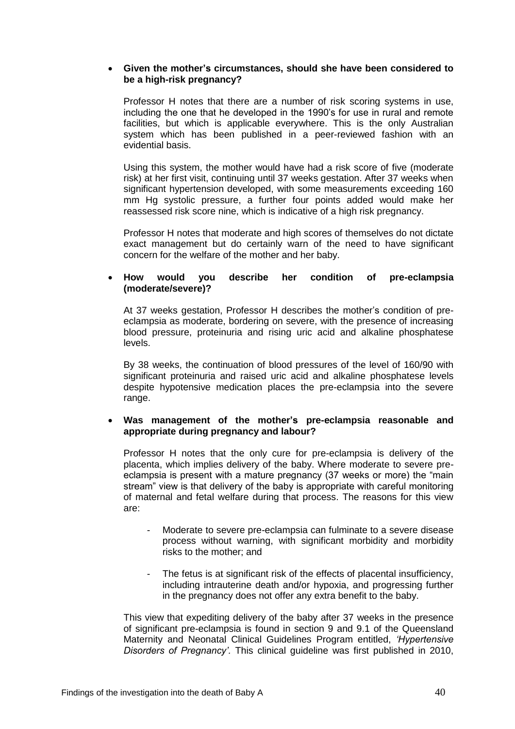## **Given the mother's circumstances, should she have been considered to be a high-risk pregnancy?**

Professor H notes that there are a number of risk scoring systems in use, including the one that he developed in the 1990's for use in rural and remote facilities, but which is applicable everywhere. This is the only Australian system which has been published in a peer-reviewed fashion with an evidential basis.

Using this system, the mother would have had a risk score of five (moderate risk) at her first visit, continuing until 37 weeks gestation. After 37 weeks when significant hypertension developed, with some measurements exceeding 160 mm Hg systolic pressure, a further four points added would make her reassessed risk score nine, which is indicative of a high risk pregnancy.

Professor H notes that moderate and high scores of themselves do not dictate exact management but do certainly warn of the need to have significant concern for the welfare of the mother and her baby.

## **How would you describe her condition of pre-eclampsia (moderate/severe)?**

At 37 weeks gestation, Professor H describes the mother's condition of preeclampsia as moderate, bordering on severe, with the presence of increasing blood pressure, proteinuria and rising uric acid and alkaline phosphatese levels.

By 38 weeks, the continuation of blood pressures of the level of 160/90 with significant proteinuria and raised uric acid and alkaline phosphatese levels despite hypotensive medication places the pre-eclampsia into the severe range.

## **Was management of the mother's pre-eclampsia reasonable and appropriate during pregnancy and labour?**

Professor H notes that the only cure for pre-eclampsia is delivery of the placenta, which implies delivery of the baby. Where moderate to severe preeclampsia is present with a mature pregnancy (37 weeks or more) the "main stream" view is that delivery of the baby is appropriate with careful monitoring of maternal and fetal welfare during that process. The reasons for this view are:

- Moderate to severe pre-eclampsia can fulminate to a severe disease process without warning, with significant morbidity and morbidity risks to the mother; and
- The fetus is at significant risk of the effects of placental insufficiency, including intrauterine death and/or hypoxia, and progressing further in the pregnancy does not offer any extra benefit to the baby.

This view that expediting delivery of the baby after 37 weeks in the presence of significant pre-eclampsia is found in section 9 and 9.1 of the Queensland Maternity and Neonatal Clinical Guidelines Program entitled, *'Hypertensive Disorders of Pregnancy'.* This clinical guideline was first published in 2010,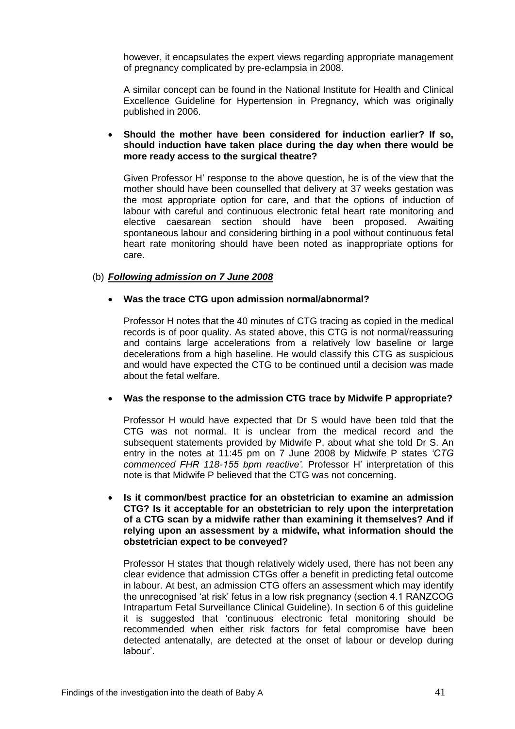however, it encapsulates the expert views regarding appropriate management of pregnancy complicated by pre-eclampsia in 2008.

A similar concept can be found in the National Institute for Health and Clinical Excellence Guideline for Hypertension in Pregnancy, which was originally published in 2006.

## **Should the mother have been considered for induction earlier? If so, should induction have taken place during the day when there would be more ready access to the surgical theatre?**

Given Professor H' response to the above question, he is of the view that the mother should have been counselled that delivery at 37 weeks gestation was the most appropriate option for care, and that the options of induction of labour with careful and continuous electronic fetal heart rate monitoring and elective caesarean section should have been proposed. Awaiting spontaneous labour and considering birthing in a pool without continuous fetal heart rate monitoring should have been noted as inappropriate options for care.

# (b) *Following admission on 7 June 2008*

# **Was the trace CTG upon admission normal/abnormal?**

Professor H notes that the 40 minutes of CTG tracing as copied in the medical records is of poor quality. As stated above, this CTG is not normal/reassuring and contains large accelerations from a relatively low baseline or large decelerations from a high baseline. He would classify this CTG as suspicious and would have expected the CTG to be continued until a decision was made about the fetal welfare.

# **Was the response to the admission CTG trace by Midwife P appropriate?**

Professor H would have expected that Dr S would have been told that the CTG was not normal. It is unclear from the medical record and the subsequent statements provided by Midwife P, about what she told Dr S. An entry in the notes at 11:45 pm on 7 June 2008 by Midwife P states *'CTG commenced FHR 118-155 bpm reactive'.* Professor H' interpretation of this note is that Midwife P believed that the CTG was not concerning.

 **Is it common/best practice for an obstetrician to examine an admission CTG? Is it acceptable for an obstetrician to rely upon the interpretation of a CTG scan by a midwife rather than examining it themselves? And if relying upon an assessment by a midwife, what information should the obstetrician expect to be conveyed?** 

Professor H states that though relatively widely used, there has not been any clear evidence that admission CTGs offer a benefit in predicting fetal outcome in labour. At best, an admission CTG offers an assessment which may identify the unrecognised 'at risk' fetus in a low risk pregnancy (section 4.1 RANZCOG Intrapartum Fetal Surveillance Clinical Guideline). In section 6 of this guideline it is suggested that 'continuous electronic fetal monitoring should be recommended when either risk factors for fetal compromise have been detected antenatally, are detected at the onset of labour or develop during labour'.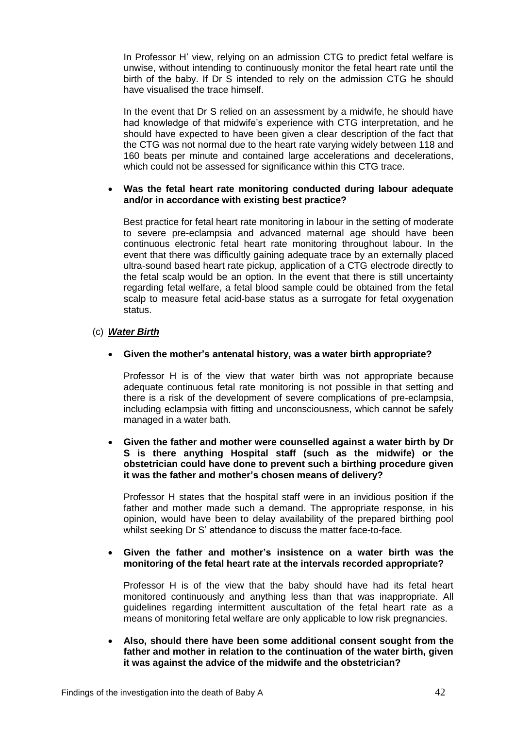In Professor H' view, relying on an admission CTG to predict fetal welfare is unwise, without intending to continuously monitor the fetal heart rate until the birth of the baby. If Dr S intended to rely on the admission CTG he should have visualised the trace himself.

In the event that Dr S relied on an assessment by a midwife, he should have had knowledge of that midwife's experience with CTG interpretation, and he should have expected to have been given a clear description of the fact that the CTG was not normal due to the heart rate varying widely between 118 and 160 beats per minute and contained large accelerations and decelerations, which could not be assessed for significance within this CTG trace.

## **Was the fetal heart rate monitoring conducted during labour adequate and/or in accordance with existing best practice?**

Best practice for fetal heart rate monitoring in labour in the setting of moderate to severe pre-eclampsia and advanced maternal age should have been continuous electronic fetal heart rate monitoring throughout labour. In the event that there was difficultly gaining adequate trace by an externally placed ultra-sound based heart rate pickup, application of a CTG electrode directly to the fetal scalp would be an option. In the event that there is still uncertainty regarding fetal welfare, a fetal blood sample could be obtained from the fetal scalp to measure fetal acid-base status as a surrogate for fetal oxygenation status.

# (c) *Water Birth*

# **Given the mother's antenatal history, was a water birth appropriate?**

Professor H is of the view that water birth was not appropriate because adequate continuous fetal rate monitoring is not possible in that setting and there is a risk of the development of severe complications of pre-eclampsia, including eclampsia with fitting and unconsciousness, which cannot be safely managed in a water bath.

## **Given the father and mother were counselled against a water birth by Dr S is there anything Hospital staff (such as the midwife) or the obstetrician could have done to prevent such a birthing procedure given it was the father and mother's chosen means of delivery?**

Professor H states that the hospital staff were in an invidious position if the father and mother made such a demand. The appropriate response, in his opinion, would have been to delay availability of the prepared birthing pool whilst seeking Dr S' attendance to discuss the matter face-to-face.

# **Given the father and mother's insistence on a water birth was the monitoring of the fetal heart rate at the intervals recorded appropriate?**

Professor H is of the view that the baby should have had its fetal heart monitored continuously and anything less than that was inappropriate. All guidelines regarding intermittent auscultation of the fetal heart rate as a means of monitoring fetal welfare are only applicable to low risk pregnancies.

 **Also, should there have been some additional consent sought from the father and mother in relation to the continuation of the water birth, given it was against the advice of the midwife and the obstetrician?**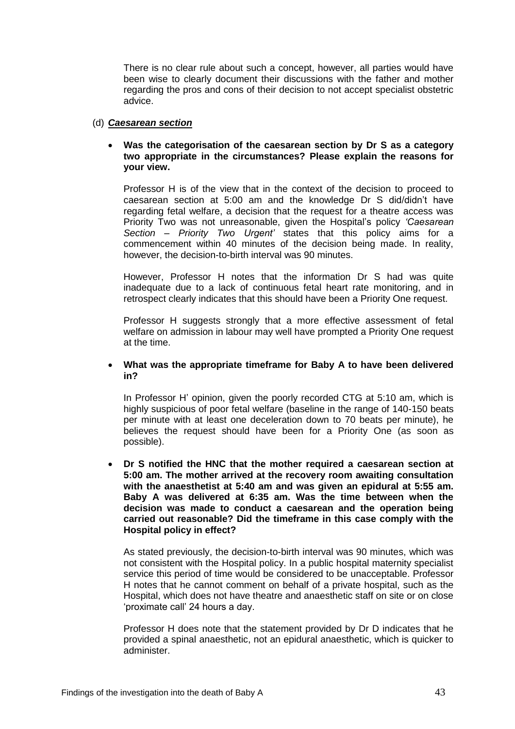There is no clear rule about such a concept, however, all parties would have been wise to clearly document their discussions with the father and mother regarding the pros and cons of their decision to not accept specialist obstetric advice.

## (d) *Caesarean section*

## **Was the categorisation of the caesarean section by Dr S as a category two appropriate in the circumstances? Please explain the reasons for your view.**

Professor H is of the view that in the context of the decision to proceed to caesarean section at 5:00 am and the knowledge Dr S did/didn't have regarding fetal welfare, a decision that the request for a theatre access was Priority Two was not unreasonable, given the Hospital's policy *'Caesarean Section – Priority Two Urgent'* states that this policy aims for a commencement within 40 minutes of the decision being made. In reality, however, the decision-to-birth interval was 90 minutes.

However, Professor H notes that the information Dr S had was quite inadequate due to a lack of continuous fetal heart rate monitoring, and in retrospect clearly indicates that this should have been a Priority One request.

Professor H suggests strongly that a more effective assessment of fetal welfare on admission in labour may well have prompted a Priority One request at the time.

## **What was the appropriate timeframe for Baby A to have been delivered in?**

In Professor H' opinion, given the poorly recorded CTG at 5:10 am, which is highly suspicious of poor fetal welfare (baseline in the range of 140-150 beats per minute with at least one deceleration down to 70 beats per minute), he believes the request should have been for a Priority One (as soon as possible).

 **Dr S notified the HNC that the mother required a caesarean section at 5:00 am. The mother arrived at the recovery room awaiting consultation with the anaesthetist at 5:40 am and was given an epidural at 5:55 am. Baby A was delivered at 6:35 am. Was the time between when the decision was made to conduct a caesarean and the operation being carried out reasonable? Did the timeframe in this case comply with the Hospital policy in effect?**

As stated previously, the decision-to-birth interval was 90 minutes, which was not consistent with the Hospital policy. In a public hospital maternity specialist service this period of time would be considered to be unacceptable. Professor H notes that he cannot comment on behalf of a private hospital, such as the Hospital, which does not have theatre and anaesthetic staff on site or on close 'proximate call' 24 hours a day.

Professor H does note that the statement provided by Dr D indicates that he provided a spinal anaesthetic, not an epidural anaesthetic, which is quicker to administer.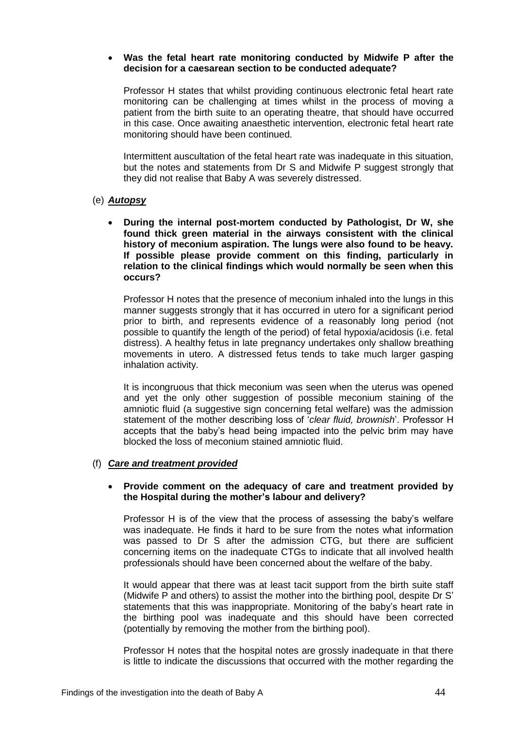## **Was the fetal heart rate monitoring conducted by Midwife P after the decision for a caesarean section to be conducted adequate?**

Professor H states that whilst providing continuous electronic fetal heart rate monitoring can be challenging at times whilst in the process of moving a patient from the birth suite to an operating theatre, that should have occurred in this case. Once awaiting anaesthetic intervention, electronic fetal heart rate monitoring should have been continued.

Intermittent auscultation of the fetal heart rate was inadequate in this situation, but the notes and statements from Dr S and Midwife P suggest strongly that they did not realise that Baby A was severely distressed.

## (e) *Autopsy*

 **During the internal post-mortem conducted by Pathologist, Dr W, she found thick green material in the airways consistent with the clinical history of meconium aspiration. The lungs were also found to be heavy. If possible please provide comment on this finding, particularly in relation to the clinical findings which would normally be seen when this occurs?** 

Professor H notes that the presence of meconium inhaled into the lungs in this manner suggests strongly that it has occurred in utero for a significant period prior to birth, and represents evidence of a reasonably long period (not possible to quantify the length of the period) of fetal hypoxia/acidosis (i.e. fetal distress). A healthy fetus in late pregnancy undertakes only shallow breathing movements in utero. A distressed fetus tends to take much larger gasping inhalation activity.

It is incongruous that thick meconium was seen when the uterus was opened and yet the only other suggestion of possible meconium staining of the amniotic fluid (a suggestive sign concerning fetal welfare) was the admission statement of the mother describing loss of '*clear fluid, brownish*'. Professor H accepts that the baby's head being impacted into the pelvic brim may have blocked the loss of meconium stained amniotic fluid.

# (f) *Care and treatment provided*

## **Provide comment on the adequacy of care and treatment provided by the Hospital during the mother's labour and delivery?**

Professor H is of the view that the process of assessing the baby's welfare was inadequate. He finds it hard to be sure from the notes what information was passed to Dr S after the admission CTG, but there are sufficient concerning items on the inadequate CTGs to indicate that all involved health professionals should have been concerned about the welfare of the baby.

It would appear that there was at least tacit support from the birth suite staff (Midwife P and others) to assist the mother into the birthing pool, despite Dr S' statements that this was inappropriate. Monitoring of the baby's heart rate in the birthing pool was inadequate and this should have been corrected (potentially by removing the mother from the birthing pool).

Professor H notes that the hospital notes are grossly inadequate in that there is little to indicate the discussions that occurred with the mother regarding the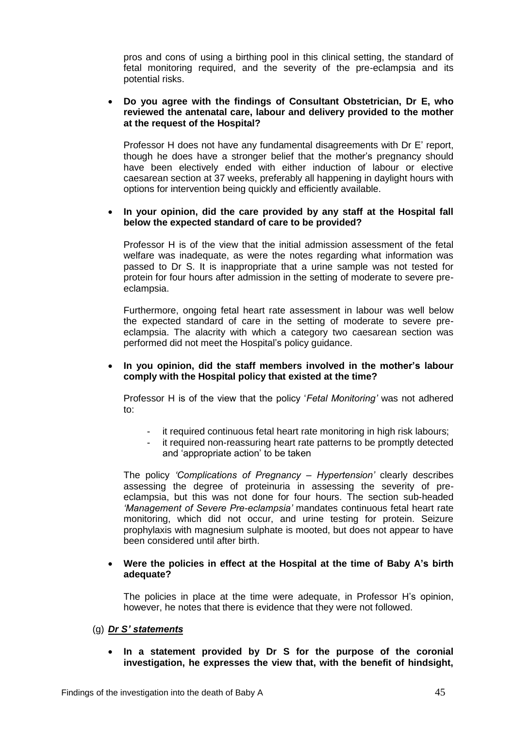pros and cons of using a birthing pool in this clinical setting, the standard of fetal monitoring required, and the severity of the pre-eclampsia and its potential risks.

## **Do you agree with the findings of Consultant Obstetrician, Dr E, who reviewed the antenatal care, labour and delivery provided to the mother at the request of the Hospital?**

Professor H does not have any fundamental disagreements with Dr E' report, though he does have a stronger belief that the mother's pregnancy should have been electively ended with either induction of labour or elective caesarean section at 37 weeks, preferably all happening in daylight hours with options for intervention being quickly and efficiently available.

## **In your opinion, did the care provided by any staff at the Hospital fall below the expected standard of care to be provided?**

Professor H is of the view that the initial admission assessment of the fetal welfare was inadequate, as were the notes regarding what information was passed to Dr S. It is inappropriate that a urine sample was not tested for protein for four hours after admission in the setting of moderate to severe preeclampsia.

Furthermore, ongoing fetal heart rate assessment in labour was well below the expected standard of care in the setting of moderate to severe preeclampsia. The alacrity with which a category two caesarean section was performed did not meet the Hospital's policy guidance.

## **In you opinion, did the staff members involved in the mother's labour comply with the Hospital policy that existed at the time?**

Professor H is of the view that the policy '*Fetal Monitoring'* was not adhered to:

- it required continuous fetal heart rate monitoring in high risk labours;
- it required non-reassuring heart rate patterns to be promptly detected and 'appropriate action' to be taken

The policy *'Complications of Pregnancy – Hypertension'* clearly describes assessing the degree of proteinuria in assessing the severity of preeclampsia, but this was not done for four hours. The section sub-headed *'Management of Severe Pre-eclampsia'* mandates continuous fetal heart rate monitoring, which did not occur, and urine testing for protein. Seizure prophylaxis with magnesium sulphate is mooted, but does not appear to have been considered until after birth.

## **Were the policies in effect at the Hospital at the time of Baby A's birth adequate?**

The policies in place at the time were adequate, in Professor H's opinion, however, he notes that there is evidence that they were not followed.

# (g) *Dr S' statements*

 **In a statement provided by Dr S for the purpose of the coronial investigation, he expresses the view that, with the benefit of hindsight,**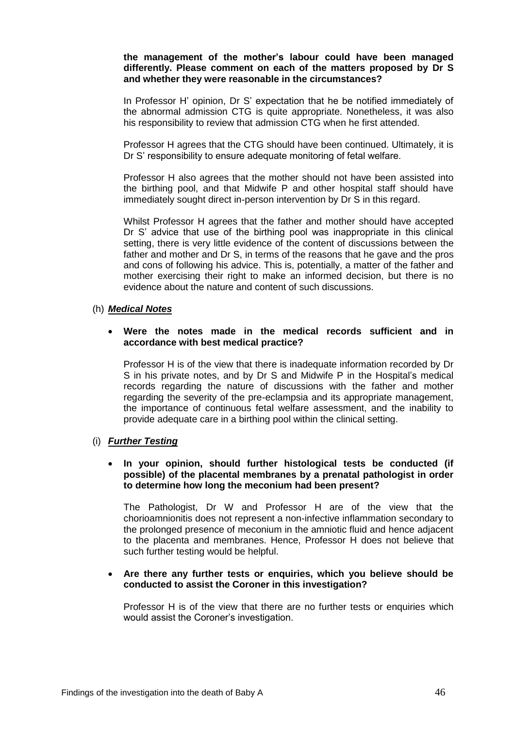## **the management of the mother's labour could have been managed differently. Please comment on each of the matters proposed by Dr S and whether they were reasonable in the circumstances?**

In Professor H' opinion, Dr S' expectation that he be notified immediately of the abnormal admission CTG is quite appropriate. Nonetheless, it was also his responsibility to review that admission CTG when he first attended.

Professor H agrees that the CTG should have been continued. Ultimately, it is Dr S' responsibility to ensure adequate monitoring of fetal welfare.

Professor H also agrees that the mother should not have been assisted into the birthing pool, and that Midwife P and other hospital staff should have immediately sought direct in-person intervention by Dr S in this regard.

Whilst Professor H agrees that the father and mother should have accepted Dr S' advice that use of the birthing pool was inappropriate in this clinical setting, there is very little evidence of the content of discussions between the father and mother and Dr S, in terms of the reasons that he gave and the pros and cons of following his advice. This is, potentially, a matter of the father and mother exercising their right to make an informed decision, but there is no evidence about the nature and content of such discussions.

## (h) *Medical Notes*

## **Were the notes made in the medical records sufficient and in accordance with best medical practice?**

Professor H is of the view that there is inadequate information recorded by Dr S in his private notes, and by Dr S and Midwife P in the Hospital's medical records regarding the nature of discussions with the father and mother regarding the severity of the pre-eclampsia and its appropriate management, the importance of continuous fetal welfare assessment, and the inability to provide adequate care in a birthing pool within the clinical setting.

# (i) *Further Testing*

## **In your opinion, should further histological tests be conducted (if possible) of the placental membranes by a prenatal pathologist in order to determine how long the meconium had been present?**

The Pathologist, Dr W and Professor H are of the view that the chorioamnionitis does not represent a non-infective inflammation secondary to the prolonged presence of meconium in the amniotic fluid and hence adjacent to the placenta and membranes. Hence, Professor H does not believe that such further testing would be helpful.

## **Are there any further tests or enquiries, which you believe should be conducted to assist the Coroner in this investigation?**

Professor H is of the view that there are no further tests or enquiries which would assist the Coroner's investigation.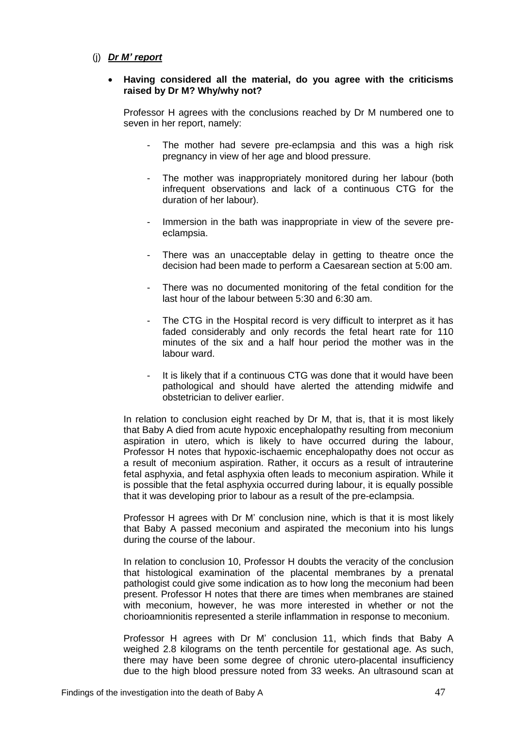## (j) *Dr M' report*

#### **Having considered all the material, do you agree with the criticisms raised by Dr M? Why/why not?**

Professor H agrees with the conclusions reached by Dr M numbered one to seven in her report, namely:

- The mother had severe pre-eclampsia and this was a high risk pregnancy in view of her age and blood pressure.
- The mother was inappropriately monitored during her labour (both infrequent observations and lack of a continuous CTG for the duration of her labour).
- Immersion in the bath was inappropriate in view of the severe preeclampsia.
- There was an unacceptable delay in getting to theatre once the decision had been made to perform a Caesarean section at 5:00 am.
- There was no documented monitoring of the fetal condition for the last hour of the labour between 5:30 and 6:30 am.
- The CTG in the Hospital record is very difficult to interpret as it has faded considerably and only records the fetal heart rate for 110 minutes of the six and a half hour period the mother was in the labour ward.
- It is likely that if a continuous CTG was done that it would have been pathological and should have alerted the attending midwife and obstetrician to deliver earlier.

In relation to conclusion eight reached by Dr M, that is, that it is most likely that Baby A died from acute hypoxic encephalopathy resulting from meconium aspiration in utero, which is likely to have occurred during the labour, Professor H notes that hypoxic-ischaemic encephalopathy does not occur as a result of meconium aspiration. Rather, it occurs as a result of intrauterine fetal asphyxia, and fetal asphyxia often leads to meconium aspiration. While it is possible that the fetal asphyxia occurred during labour, it is equally possible that it was developing prior to labour as a result of the pre-eclampsia.

Professor H agrees with Dr M' conclusion nine, which is that it is most likely that Baby A passed meconium and aspirated the meconium into his lungs during the course of the labour.

In relation to conclusion 10, Professor H doubts the veracity of the conclusion that histological examination of the placental membranes by a prenatal pathologist could give some indication as to how long the meconium had been present. Professor H notes that there are times when membranes are stained with meconium, however, he was more interested in whether or not the chorioamnionitis represented a sterile inflammation in response to meconium.

Professor H agrees with Dr M' conclusion 11, which finds that Baby A weighed 2.8 kilograms on the tenth percentile for gestational age. As such, there may have been some degree of chronic utero-placental insufficiency due to the high blood pressure noted from 33 weeks. An ultrasound scan at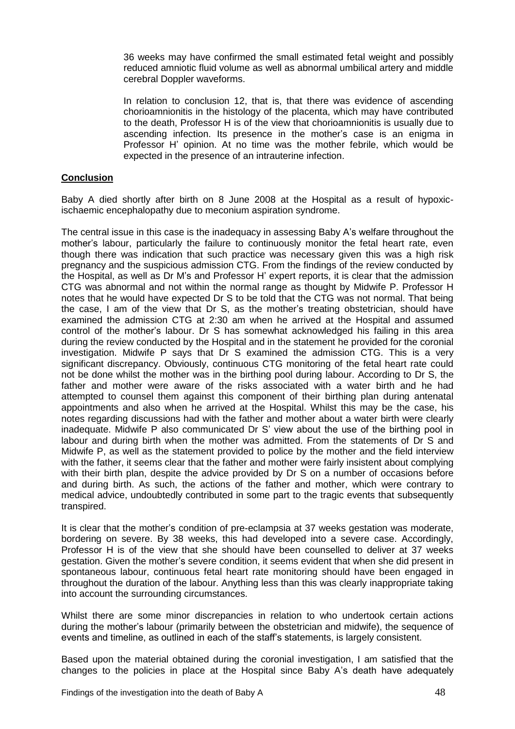36 weeks may have confirmed the small estimated fetal weight and possibly reduced amniotic fluid volume as well as abnormal umbilical artery and middle cerebral Doppler waveforms.

In relation to conclusion 12, that is, that there was evidence of ascending chorioamnionitis in the histology of the placenta, which may have contributed to the death, Professor H is of the view that chorioamnionitis is usually due to ascending infection. Its presence in the mother's case is an enigma in Professor H' opinion. At no time was the mother febrile, which would be expected in the presence of an intrauterine infection.

# **Conclusion**

Baby A died shortly after birth on 8 June 2008 at the Hospital as a result of hypoxicischaemic encephalopathy due to meconium aspiration syndrome.

The central issue in this case is the inadequacy in assessing Baby A's welfare throughout the mother's labour, particularly the failure to continuously monitor the fetal heart rate, even though there was indication that such practice was necessary given this was a high risk pregnancy and the suspicious admission CTG. From the findings of the review conducted by the Hospital, as well as Dr M's and Professor H' expert reports, it is clear that the admission CTG was abnormal and not within the normal range as thought by Midwife P. Professor H notes that he would have expected Dr S to be told that the CTG was not normal. That being the case, I am of the view that Dr S, as the mother's treating obstetrician, should have examined the admission CTG at 2:30 am when he arrived at the Hospital and assumed control of the mother's labour. Dr S has somewhat acknowledged his failing in this area during the review conducted by the Hospital and in the statement he provided for the coronial investigation. Midwife P says that Dr S examined the admission CTG. This is a very significant discrepancy. Obviously, continuous CTG monitoring of the fetal heart rate could not be done whilst the mother was in the birthing pool during labour. According to Dr S, the father and mother were aware of the risks associated with a water birth and he had attempted to counsel them against this component of their birthing plan during antenatal appointments and also when he arrived at the Hospital. Whilst this may be the case, his notes regarding discussions had with the father and mother about a water birth were clearly inadequate. Midwife P also communicated Dr S' view about the use of the birthing pool in labour and during birth when the mother was admitted. From the statements of Dr S and Midwife P, as well as the statement provided to police by the mother and the field interview with the father, it seems clear that the father and mother were fairly insistent about complying with their birth plan, despite the advice provided by Dr S on a number of occasions before and during birth. As such, the actions of the father and mother, which were contrary to medical advice, undoubtedly contributed in some part to the tragic events that subsequently transpired.

It is clear that the mother's condition of pre-eclampsia at 37 weeks gestation was moderate, bordering on severe. By 38 weeks, this had developed into a severe case. Accordingly, Professor H is of the view that she should have been counselled to deliver at 37 weeks gestation. Given the mother's severe condition, it seems evident that when she did present in spontaneous labour, continuous fetal heart rate monitoring should have been engaged in throughout the duration of the labour. Anything less than this was clearly inappropriate taking into account the surrounding circumstances.

Whilst there are some minor discrepancies in relation to who undertook certain actions during the mother's labour (primarily between the obstetrician and midwife), the sequence of events and timeline, as outlined in each of the staff's statements, is largely consistent.

Based upon the material obtained during the coronial investigation, I am satisfied that the changes to the policies in place at the Hospital since Baby A's death have adequately